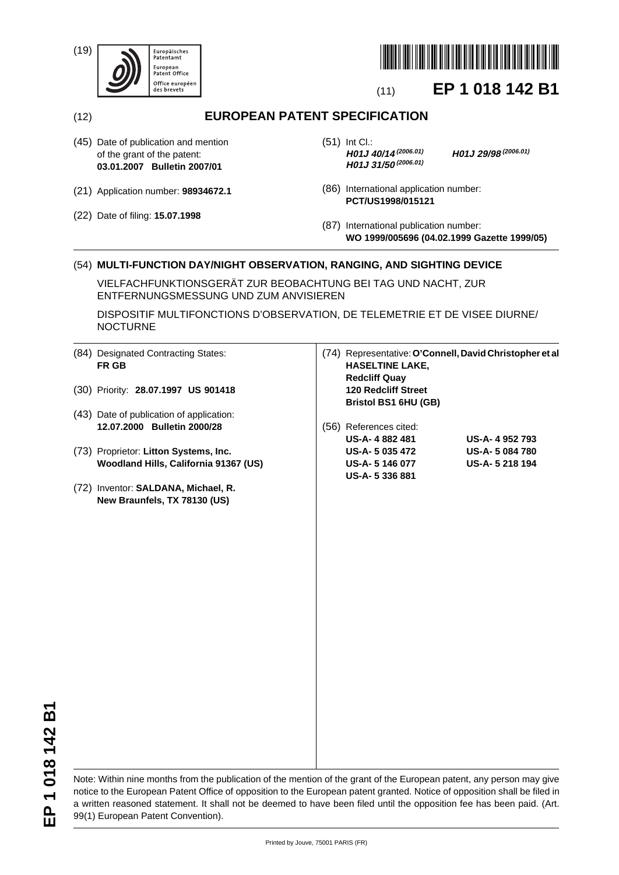(19)





# (11) **EP 1 018 142 B1**

(12) **EUROPEAN PATENT SPECIFICATION**

- (45) Date of publication and mention of the grant of the patent: **03.01.2007 Bulletin 2007/01**
- (21) Application number: **98934672.1**
- (22) Date of filing: **15.07.1998**

(51) Int Cl.:<br>**H01J 40/14** (2006.01) **H01J 31/50(2006.01)**

**H01J 40/14(2006.01) H01J 29/98(2006.01)**

- (86) International application number: **PCT/US1998/015121**
- (87) International publication number: **WO 1999/005696 (04.02.1999 Gazette 1999/05)**

## (54) **MULTI-FUNCTION DAY/NIGHT OBSERVATION, RANGING, AND SIGHTING DEVICE**

VIELFACHFUNKTIONSGERÄT ZUR BEOBACHTUNG BEI TAG UND NACHT, ZUR ENTFERNUNGSMESSUNG UND ZUM ANVISIEREN

DISPOSITIF MULTIFONCTIONS D'OBSERVATION, DE TELEMETRIE ET DE VISEE DIURNE/ NOCTURNE

|      | (84) Designated Contracting States:<br>FR GB | (74) Representative: O'Connell, David Christopher et al<br><b>HASELTINE LAKE,</b><br><b>Redcliff Quay</b> |                       |
|------|----------------------------------------------|-----------------------------------------------------------------------------------------------------------|-----------------------|
|      | (30) Priority: 28.07.1997 US 901418          | <b>120 Redcliff Street</b><br>Bristol BS1 6HU (GB)                                                        |                       |
|      | (43) Date of publication of application:     |                                                                                                           |                       |
|      | 12.07.2000 Bulletin 2000/28                  | (56) References cited:                                                                                    |                       |
|      |                                              | US-A-4882481                                                                                              | US-A-4952793          |
|      | (73) Proprietor: Litton Systems, Inc.        | US-A- 5 035 472                                                                                           | <b>US-A-5 084 780</b> |
|      | Woodland Hills, California 91367 (US)        | US-A-5 146 077                                                                                            | US-A-5218194          |
|      |                                              | US-A-5 336 881                                                                                            |                       |
| (72) | Inventor: SALDANA, Michael, R.               |                                                                                                           |                       |
|      | New Braunfels, TX 78130 (US)                 |                                                                                                           |                       |
|      |                                              |                                                                                                           |                       |
|      |                                              |                                                                                                           |                       |
|      |                                              |                                                                                                           |                       |
|      |                                              |                                                                                                           |                       |
|      |                                              |                                                                                                           |                       |
|      |                                              |                                                                                                           |                       |
|      |                                              |                                                                                                           |                       |
|      |                                              |                                                                                                           |                       |
|      |                                              |                                                                                                           |                       |
|      |                                              |                                                                                                           |                       |
|      |                                              |                                                                                                           |                       |
|      |                                              |                                                                                                           |                       |

Note: Within nine months from the publication of the mention of the grant of the European patent, any person may give notice to the European Patent Office of opposition to the European patent granted. Notice of opposition shall be filed in a written reasoned statement. It shall not be deemed to have been filed until the opposition fee has been paid. (Art. 99(1) European Patent Convention).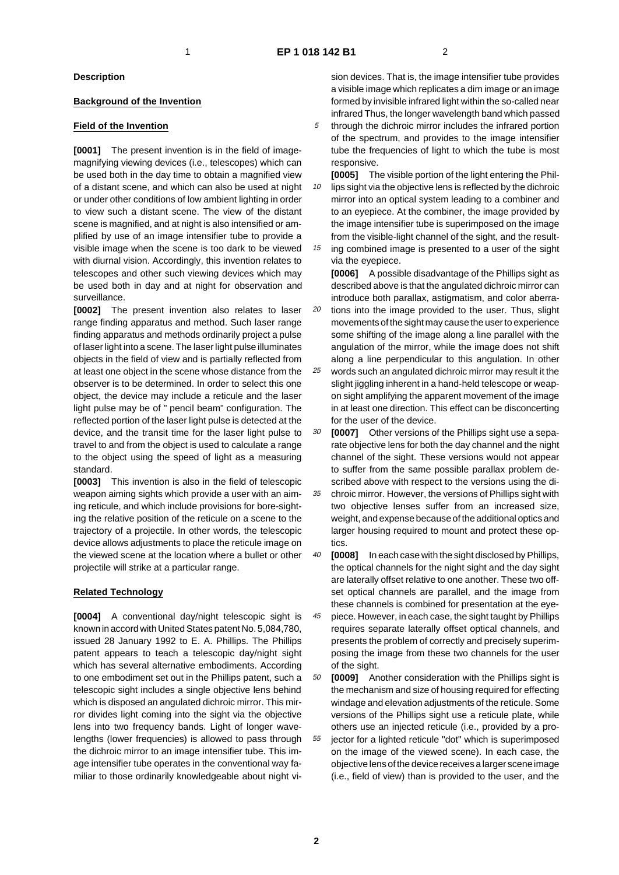#### **Description**

#### **Background of the Invention**

### **Field of the Invention**

**[0001]** The present invention is in the field of imagemagnifying viewing devices (i.e., telescopes) which can be used both in the day time to obtain a magnified view of a distant scene, and which can also be used at night or under other conditions of low ambient lighting in order to view such a distant scene. The view of the distant scene is magnified, and at night is also intensified or amplified by use of an image intensifier tube to provide a visible image when the scene is too dark to be viewed with diurnal vision. Accordingly, this invention relates to telescopes and other such viewing devices which may be used both in day and at night for observation and surveillance.

**[0002]** The present invention also relates to laser range finding apparatus and method. Such laser range finding apparatus and methods ordinarily project a pulse of laser light into a scene. The laser light pulse illuminates objects in the field of view and is partially reflected from at least one object in the scene whose distance from the observer is to be determined. In order to select this one object, the device may include a reticule and the laser light pulse may be of " pencil beam" configuration. The reflected portion of the laser light pulse is detected at the device, and the transit time for the laser light pulse to travel to and from the object is used to calculate a range to the object using the speed of light as a measuring standard.

**[0003]** This invention is also in the field of telescopic weapon aiming sights which provide a user with an aiming reticule, and which include provisions for bore-sighting the relative position of the reticule on a scene to the trajectory of a projectile. In other words, the telescopic device allows adjustments to place the reticule image on the viewed scene at the location where a bullet or other projectile will strike at a particular range.

#### **Related Technology**

**[0004]** A conventional day/night telescopic sight is known in accord with United States patent No. 5,084,780, issued 28 January 1992 to E. A. Phillips. The Phillips patent appears to teach a telescopic day/night sight which has several alternative embodiments. According to one embodiment set out in the Phillips patent, such a telescopic sight includes a single objective lens behind which is disposed an angulated dichroic mirror. This mirror divides light coming into the sight via the objective lens into two frequency bands. Light of longer wavelengths (lower frequencies) is allowed to pass through the dichroic mirror to an image intensifier tube. This image intensifier tube operates in the conventional way familiar to those ordinarily knowledgeable about night vision devices. That is, the image intensifier tube provides a visible image which replicates a dim image or an image formed by invisible infrared light within the so-called near infrared Thus, the longer wavelength band which passed

- 5 through the dichroic mirror includes the infrared portion of the spectrum, and provides to the image intensifier tube the frequencies of light to which the tube is most responsive.
- 10 **[0005]** The visible portion of the light entering the Phillips sight via the objective lens is reflected by the dichroic mirror into an optical system leading to a combiner and to an eyepiece. At the combiner, the image provided by the image intensifier tube is superimposed on the image from the visible-light channel of the sight, and the result-
- 15 ing combined image is presented to a user of the sight via the eyepiece.

**[0006]** A possible disadvantage of the Phillips sight as described above is that the angulated dichroic mirror can introduce both parallax, astigmatism, and color aberra-

- 20 tions into the image provided to the user. Thus, slight movements of the sight may cause the user to experience some shifting of the image along a line parallel with the angulation of the mirror, while the image does not shift along a line perpendicular to this angulation. In other
- 25 words such an angulated dichroic mirror may result it the slight jiggling inherent in a hand-held telescope or weapon sight amplifying the apparent movement of the image in at least one direction. This effect can be disconcerting for the user of the device.
- 30 **[0007]** Other versions of the Phillips sight use a separate objective lens for both the day channel and the night channel of the sight. These versions would not appear to suffer from the same possible parallax problem described above with respect to the versions using the di-
- 35 chroic mirror. However, the versions of Phillips sight with two objective lenses suffer from an increased size, weight, and expense because of the additional optics and larger housing required to mount and protect these optics.
- 40 **[0008]** In each case with the sight disclosed by Phillips, the optical channels for the night sight and the day sight are laterally offset relative to one another. These two offset optical channels are parallel, and the image from these channels is combined for presentation at the eye-
- 45 piece. However, in each case, the sight taught by Phillips requires separate laterally offset optical channels, and presents the problem of correctly and precisely superimposing the image from these two channels for the user of the sight.

50 55 **[0009]** Another consideration with the Phillips sight is the mechanism and size of housing required for effecting windage and elevation adjustments of the reticule. Some versions of the Phillips sight use a reticule plate, while others use an injected reticule (i.e., provided by a projector for a lighted reticule "dot" which is superimposed on the image of the viewed scene). In each case, the objective lens of the device receives a larger scene image (i.e., field of view) than is provided to the user, and the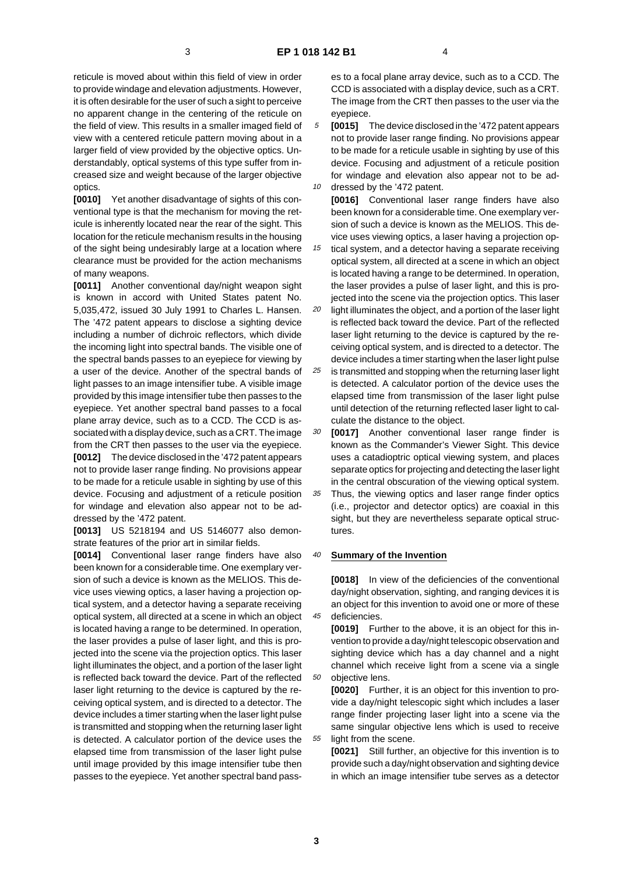reticule is moved about within this field of view in order to provide windage and elevation adjustments. However, it is often desirable for the user of such a sight to perceive no apparent change in the centering of the reticule on the field of view. This results in a smaller imaged field of view with a centered reticule pattern moving about in a larger field of view provided by the objective optics. Understandably, optical systems of this type suffer from increased size and weight because of the larger objective optics.

**[0010]** Yet another disadvantage of sights of this conventional type is that the mechanism for moving the reticule is inherently located near the rear of the sight. This location for the reticule mechanism results in the housing of the sight being undesirably large at a location where clearance must be provided for the action mechanisms of many weapons.

**[0011]** Another conventional day/night weapon sight is known in accord with United States patent No. 5,035,472, issued 30 July 1991 to Charles L. Hansen. The '472 patent appears to disclose a sighting device including a number of dichroic reflectors, which divide the incoming light into spectral bands. The visible one of the spectral bands passes to an eyepiece for viewing by a user of the device. Another of the spectral bands of light passes to an image intensifier tube. A visible image provided by this image intensifier tube then passes to the eyepiece. Yet another spectral band passes to a focal plane array device, such as to a CCD. The CCD is associated with a display device, such as a CRT. The image from the CRT then passes to the user via the eyepiece. **[0012]** The device disclosed in the '472 patent appears not to provide laser range finding. No provisions appear to be made for a reticule usable in sighting by use of this device. Focusing and adjustment of a reticule position for windage and elevation also appear not to be addressed by the '472 patent.

**[0013]** US 5218194 and US 5146077 also demonstrate features of the prior art in similar fields.

**[0014]** Conventional laser range finders have also been known for a considerable time. One exemplary version of such a device is known as the MELIOS. This device uses viewing optics, a laser having a projection optical system, and a detector having a separate receiving optical system, all directed at a scene in which an object is located having a range to be determined. In operation, the laser provides a pulse of laser light, and this is projected into the scene via the projection optics. This laser light illuminates the object, and a portion of the laser light is reflected back toward the device. Part of the reflected laser light returning to the device is captured by the receiving optical system, and is directed to a detector. The device includes a timer starting when the laser light pulse is transmitted and stopping when the returning laser light is detected. A calculator portion of the device uses the elapsed time from transmission of the laser light pulse until image provided by this image intensifier tube then passes to the eyepiece. Yet another spectral band passes to a focal plane array device, such as to a CCD. The CCD is associated with a display device, such as a CRT. The image from the CRT then passes to the user via the eyepiece.

5 10 **[0015]** The device disclosed in the '472 patent appears not to provide laser range finding. No provisions appear to be made for a reticule usable in sighting by use of this device. Focusing and adjustment of a reticule position for windage and elevation also appear not to be addressed by the '472 patent.

**[0016]** Conventional laser range finders have also been known for a considerable time. One exemplary version of such a device is known as the MELIOS. This device uses viewing optics, a laser having a projection op-

15 tical system, and a detector having a separate receiving optical system, all directed at a scene in which an object is located having a range to be determined. In operation, the laser provides a pulse of laser light, and this is projected into the scene via the projection optics. This laser

20 light illuminates the object, and a portion of the laser light is reflected back toward the device. Part of the reflected laser light returning to the device is captured by the receiving optical system, and is directed to a detector. The device includes a timer starting when the laser light pulse

25 is transmitted and stopping when the returning laser light is detected. A calculator portion of the device uses the elapsed time from transmission of the laser light pulse until detection of the returning reflected laser light to calculate the distance to the object.

30 **[0017]** Another conventional laser range finder is known as the Commander's Viewer Sight. This device uses a catadioptric optical viewing system, and places separate optics for projecting and detecting the laser light in the central obscuration of the viewing optical system.

35 Thus, the viewing optics and laser range finder optics (i.e., projector and detector optics) are coaxial in this sight, but they are nevertheless separate optical structures.

#### 40 **Summary of the Invention**

**[0018]** In view of the deficiencies of the conventional day/night observation, sighting, and ranging devices it is an object for this invention to avoid one or more of these deficiencies.

**[0019]** Further to the above, it is an object for this invention to provide a day/night telescopic observation and sighting device which has a day channel and a night channel which receive light from a scene via a single objective lens.

**[0020]** Further, it is an object for this invention to provide a day/night telescopic sight which includes a laser range finder projecting laser light into a scene via the same singular objective lens which is used to receive light from the scene.

**[0021]** Still further, an objective for this invention is to provide such a day/night observation and sighting device in which an image intensifier tube serves as a detector

**3**

45

50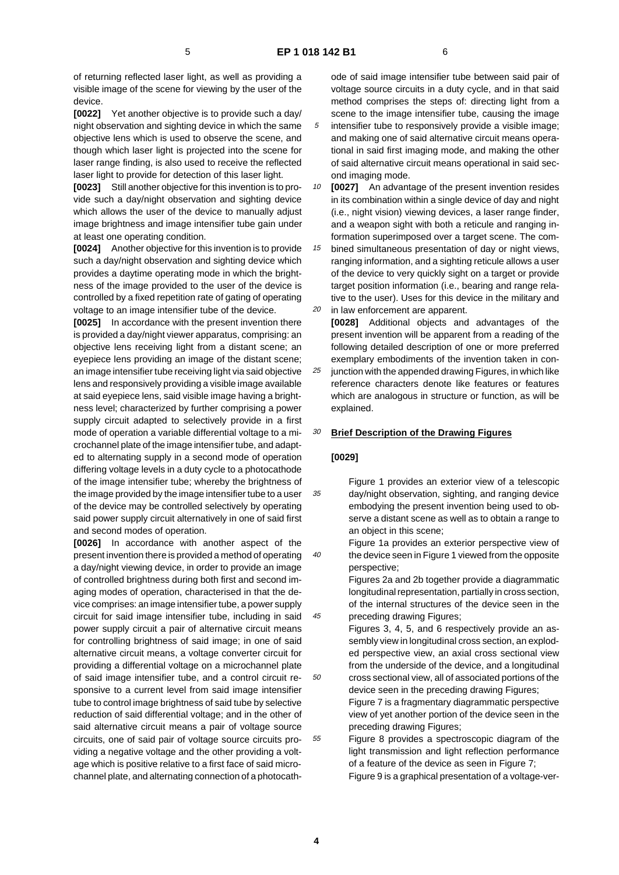ond imaging mode.

of returning reflected laser light, as well as providing a visible image of the scene for viewing by the user of the device.

**[0022]** Yet another objective is to provide such a day/ night observation and sighting device in which the same objective lens which is used to observe the scene, and though which laser light is projected into the scene for laser range finding, is also used to receive the reflected laser light to provide for detection of this laser light.

**[0023]** Still another objective for this invention is to provide such a day/night observation and sighting device which allows the user of the device to manually adjust image brightness and image intensifier tube gain under at least one operating condition.

**[0024]** Another objective for this invention is to provide such a day/night observation and sighting device which provides a daytime operating mode in which the brightness of the image provided to the user of the device is controlled by a fixed repetition rate of gating of operating voltage to an image intensifier tube of the device.

**[0025]** In accordance with the present invention there is provided a day/night viewer apparatus, comprising: an objective lens receiving light from a distant scene; an eyepiece lens providing an image of the distant scene; an image intensifier tube receiving light via said objective lens and responsively providing a visible image available at said eyepiece lens, said visible image having a brightness level; characterized by further comprising a power supply circuit adapted to selectively provide in a first mode of operation a variable differential voltage to a microchannel plate of the image intensifier tube, and adapted to alternating supply in a second mode of operation differing voltage levels in a duty cycle to a photocathode of the image intensifier tube; whereby the brightness of the image provided by the image intensifier tube to a user of the device may be controlled selectively by operating said power supply circuit alternatively in one of said first and second modes of operation.

**[0026]** In accordance with another aspect of the present invention there is provided a method of operating a day/night viewing device, in order to provide an image of controlled brightness during both first and second imaging modes of operation, characterised in that the device comprises: an image intensifier tube, a power supply circuit for said image intensifier tube, including in said power supply circuit a pair of alternative circuit means for controlling brightness of said image; in one of said alternative circuit means, a voltage converter circuit for providing a differential voltage on a microchannel plate of said image intensifier tube, and a control circuit responsive to a current level from said image intensifier tube to control image brightness of said tube by selective reduction of said differential voltage; and in the other of said alternative circuit means a pair of voltage source circuits, one of said pair of voltage source circuits providing a negative voltage and the other providing a voltage which is positive relative to a first face of said microchannel plate, and alternating connection of a photocathode of said image intensifier tube between said pair of voltage source circuits in a duty cycle, and in that said method comprises the steps of: directing light from a scene to the image intensifier tube, causing the image intensifier tube to responsively provide a visible image; and making one of said alternative circuit means operational in said first imaging mode, and making the other of said alternative circuit means operational in said sec-

10 **[0027]** An advantage of the present invention resides in its combination within a single device of day and night (i.e., night vision) viewing devices, a laser range finder, and a weapon sight with both a reticule and ranging information superimposed over a target scene. The com-

15 20 bined simultaneous presentation of day or night views, ranging information, and a sighting reticule allows a user of the device to very quickly sight on a target or provide target position information (i.e., bearing and range relative to the user). Uses for this device in the military and in law enforcement are apparent.

**[0028]** Additional objects and advantages of the present invention will be apparent from a reading of the following detailed description of one or more preferred exemplary embodiments of the invention taken in con-

25 junction with the appended drawing Figures, in which like reference characters denote like features or features which are analogous in structure or function, as will be explained.

#### 30 **Brief Description of the Drawing Figures**

#### **[0029]**

35

40

45

50

55

Figure 1 provides an exterior view of a telescopic day/night observation, sighting, and ranging device embodying the present invention being used to observe a distant scene as well as to obtain a range to an object in this scene;

Figure 1a provides an exterior perspective view of the device seen in Figure 1 viewed from the opposite perspective;

Figures 2a and 2b together provide a diagrammatic longitudinal representation, partially in cross section, of the internal structures of the device seen in the preceding drawing Figures;

Figures 3, 4, 5, and 6 respectively provide an assembly view in longitudinal cross section, an exploded perspective view, an axial cross sectional view from the underside of the device, and a longitudinal cross sectional view, all of associated portions of the device seen in the preceding drawing Figures;

Figure 7 is a fragmentary diagrammatic perspective view of yet another portion of the device seen in the preceding drawing Figures;

Figure 8 provides a spectroscopic diagram of the light transmission and light reflection performance of a feature of the device as seen in Figure 7;

Figure 9 is a graphical presentation of a voltage-ver-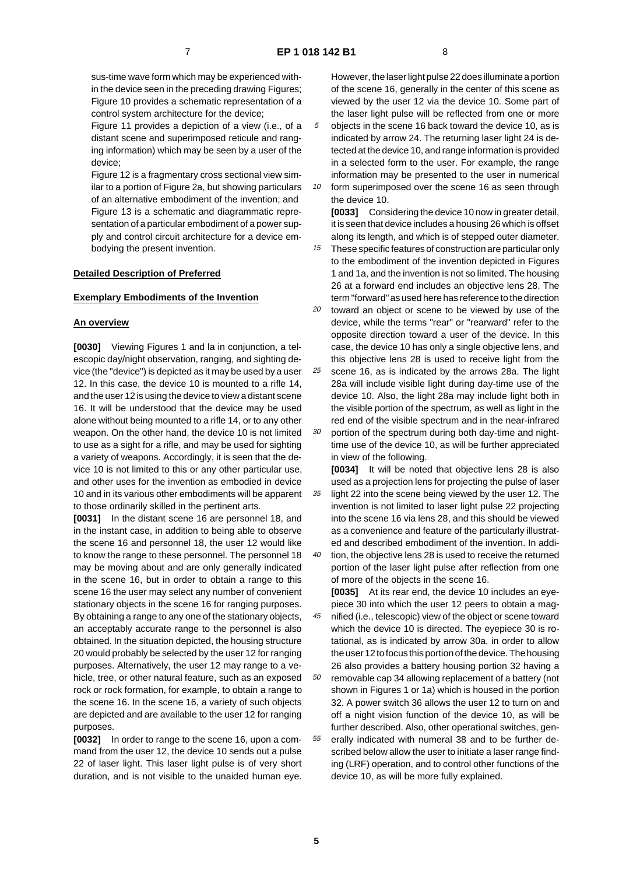sus-time wave form which may be experienced within the device seen in the preceding drawing Figures; Figure 10 provides a schematic representation of a control system architecture for the device;

Figure 11 provides a depiction of a view (i.e., of a distant scene and superimposed reticule and ranging information) which may be seen by a user of the device;

Figure 12 is a fragmentary cross sectional view similar to a portion of Figure 2a, but showing particulars of an alternative embodiment of the invention; and Figure 13 is a schematic and diagrammatic representation of a particular embodiment of a power supply and control circuit architecture for a device embodying the present invention.

#### **Detailed Description of Preferred**

#### **Exemplary Embodiments of the Invention**

#### **An overview**

**[0030]** Viewing Figures 1 and la in conjunction, a telescopic day/night observation, ranging, and sighting device (the "device") is depicted as it may be used by a user 12. In this case, the device 10 is mounted to a rifle 14, and the user 12 is using the device to view a distant scene 16. It will be understood that the device may be used alone without being mounted to a rifle 14, or to any other weapon. On the other hand, the device 10 is not limited to use as a sight for a rifle, and may be used for sighting a variety of weapons. Accordingly, it is seen that the device 10 is not limited to this or any other particular use, and other uses for the invention as embodied in device 10 and in its various other embodiments will be apparent to those ordinarily skilled in the pertinent arts.

**[0031]** In the distant scene 16 are personnel 18, and in the instant case, in addition to being able to observe the scene 16 and personnel 18, the user 12 would like to know the range to these personnel. The personnel 18 may be moving about and are only generally indicated in the scene 16, but in order to obtain a range to this scene 16 the user may select any number of convenient stationary objects in the scene 16 for ranging purposes. By obtaining a range to any one of the stationary objects, an acceptably accurate range to the personnel is also obtained. In the situation depicted, the housing structure 20 would probably be selected by the user 12 for ranging purposes. Alternatively, the user 12 may range to a vehicle, tree, or other natural feature, such as an exposed rock or rock formation, for example, to obtain a range to the scene 16. In the scene 16, a variety of such objects are depicted and are available to the user 12 for ranging purposes.

**[0032]** In order to range to the scene 16, upon a command from the user 12, the device 10 sends out a pulse 22 of laser light. This laser light pulse is of very short duration, and is not visible to the unaided human eye. However, the laser light pulse 22 does illuminate a portion of the scene 16, generally in the center of this scene as viewed by the user 12 via the device 10. Some part of the laser light pulse will be reflected from one or more

5 10 objects in the scene 16 back toward the device 10, as is indicated by arrow 24. The returning laser light 24 is detected at the device 10, and range information is provided in a selected form to the user. For example, the range information may be presented to the user in numerical

form superimposed over the scene 16 as seen through the device 10.

**[0033]** Considering the device 10 now in greater detail, it is seen that device includes a housing 26 which is offset along its length, and which is of stepped outer diameter.

15 These specific features of construction are particular only to the embodiment of the invention depicted in Figures 1 and 1a, and the invention is not so limited. The housing 26 at a forward end includes an objective lens 28. The term "forward" as used here has reference to the direction

20 toward an object or scene to be viewed by use of the device, while the terms "rear" or "rearward" refer to the opposite direction toward a user of the device. In this case, the device 10 has only a single objective lens, and this objective lens 28 is used to receive light from the

25 scene 16, as is indicated by the arrows 28a. The light 28a will include visible light during day-time use of the device 10. Also, the light 28a may include light both in the visible portion of the spectrum, as well as light in the red end of the visible spectrum and in the near-infrared

30 portion of the spectrum during both day-time and nighttime use of the device 10, as will be further appreciated in view of the following.

35 **[0034]** It will be noted that objective lens 28 is also used as a projection lens for projecting the pulse of laser light 22 into the scene being viewed by the user 12. The invention is not limited to laser light pulse 22 projecting into the scene 16 via lens 28, and this should be viewed as a convenience and feature of the particularly illustrated and described embodiment of the invention. In addi-

40 tion, the objective lens 28 is used to receive the returned portion of the laser light pulse after reflection from one of more of the objects in the scene 16.

**[0035]** At its rear end, the device 10 includes an eyepiece 30 into which the user 12 peers to obtain a mag-

45 50 55 nified (i.e., telescopic) view of the object or scene toward which the device 10 is directed. The eyepiece 30 is rotational, as is indicated by arrow 30a, in order to allow the user 12 to focus this portion of the device. The housing 26 also provides a battery housing portion 32 having a removable cap 34 allowing replacement of a battery (not shown in Figures 1 or 1a) which is housed in the portion 32. A power switch 36 allows the user 12 to turn on and off a night vision function of the device 10, as will be further described. Also, other operational switches, generally indicated with numeral 38 and to be further described below allow the user to initiate a laser range finding (LRF) operation, and to control other functions of the device 10, as will be more fully explained.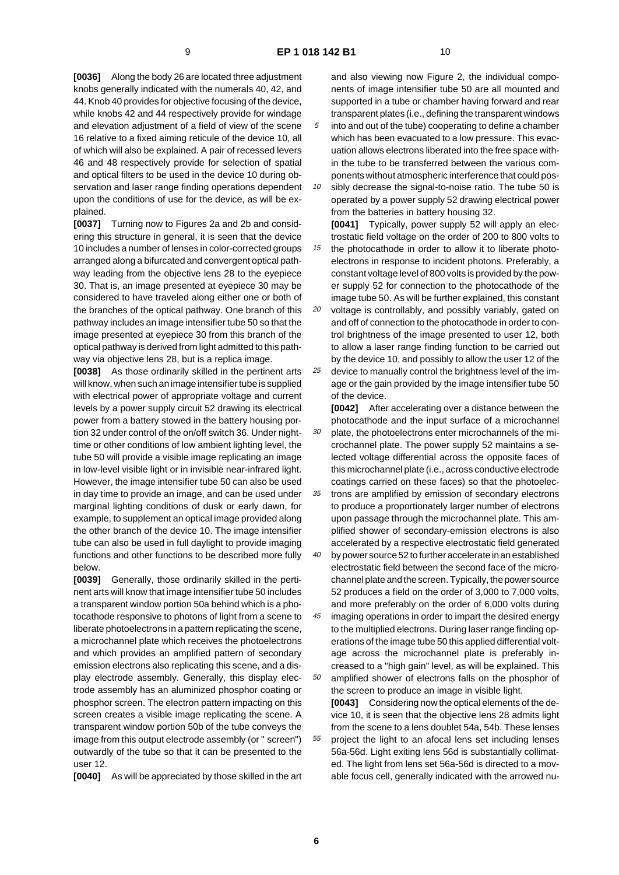**[0036]** Along the body 26 are located three adjustment knobs generally indicated with the numerals 40, 42, and 44. Knob 40 provides for objective focusing of the device, while knobs 42 and 44 respectively provide for windage and elevation adjustment of a field of view of the scene 16 relative to a fixed aiming reticule of the device 10, all of which will also be explained. A pair of recessed levers 46 and 48 respectively provide for selection of spatial and optical filters to be used in the device 10 during observation and laser range finding operations dependent upon the conditions of use for the device, as will be explained.

**[0037]** Turning now to Figures 2a and 2b and considering this structure in general, it is seen that the device 10 includes a number of lenses in color-corrected groups arranged along a bifurcated and convergent optical pathway leading from the objective lens 28 to the eyepiece 30. That is, an image presented at eyepiece 30 may be considered to have traveled along either one or both of the branches of the optical pathway. One branch of this pathway includes an image intensifier tube 50 so that the image presented at eyepiece 30 from this branch of the optical pathway is derived from light admitted to this pathway via objective lens 28, but is a replica image.

**[0038]** As those ordinarily skilled in the pertinent arts will know, when such an image intensifier tube is supplied with electrical power of appropriate voltage and current levels by a power supply circuit 52 drawing its electrical power from a battery stowed in the battery housing portion 32 under control of the on/off switch 36. Under nighttime or other conditions of low ambient lighting level, the tube 50 will provide a visible image replicating an image in low-level visible light or in invisible near-infrared light. However, the image intensifier tube 50 can also be used in day time to provide an image, and can be used under marginal lighting conditions of dusk or early dawn, for example, to supplement an optical image provided along the other branch of the device 10. The image intensifier tube can also be used in full daylight to provide imaging functions and other functions to be described more fully below.

**[0039]** Generally, those ordinarily skilled in the pertinent arts will know that image intensifier tube 50 includes a transparent window portion 50a behind which is a photocathode responsive to photons of light from a scene to liberate photoelectrons in a pattern replicating the scene, a microchannel plate which receives the photoelectrons and which provides an amplified pattern of secondary emission electrons also replicating this scene, and a display electrode assembly. Generally, this display electrode assembly has an aluminized phosphor coating or phosphor screen. The electron pattern impacting on this screen creates a visible image replicating the scene. A transparent window portion 50b of the tube conveys the image from this output electrode assembly (or " screen") outwardly of the tube so that it can be presented to the user 12.

**[0040]** As will be appreciated by those skilled in the art

and also viewing now Figure 2, the individual components of image intensifier tube 50 are all mounted and supported in a tube or chamber having forward and rear transparent plates (i.e., defining the transparent windows into and out of the tube) cooperating to define a chamber

- 5 which has been evacuated to a low pressure. This evacuation allows electrons liberated into the free space within the tube to be transferred between the various components without atmospheric interference that could pos-
- 10 sibly decrease the signal-to-noise ratio. The tube 50 is operated by a power supply 52 drawing electrical power from the batteries in battery housing 32.

**[0041]** Typically, power supply 52 will apply an electrostatic field voltage on the order of 200 to 800 volts to

15 the photocathode in order to allow it to liberate photoelectrons in response to incident photons. Preferably, a constant voltage level of 800 volts is provided by the power supply 52 for connection to the photocathode of the image tube 50. As will be further explained, this constant

- 20 25 voltage is controllably, and possibly variably, gated on and off of connection to the photocathode in order to control brightness of the image presented to user 12, both to allow a laser range finding function to be carried out by the device 10, and possibly to allow the user 12 of the device to manually control the brightness level of the im
	- age or the gain provided by the image intensifier tube 50 of the device.

30 **[0042]** After accelerating over a distance between the photocathode and the input surface of a microchannel plate, the photoelectrons enter microchannels of the microchannel plate. The power supply 52 maintains a selected voltage differential across the opposite faces of this microchannel plate (i.e., across conductive electrode coatings carried on these faces) so that the photoelec-

- 35 trons are amplified by emission of secondary electrons to produce a proportionately larger number of electrons upon passage through the microchannel plate. This amplified shower of secondary-emission electrons is also accelerated by a respective electrostatic field generated
- 40 by power source 52 to further accelerate in an established electrostatic field between the second face of the microchannel plate and the screen. Typically, the power source 52 produces a field on the order of 3,000 to 7,000 volts, and more preferably on the order of 6,000 volts during
- 45 50 imaging operations in order to impart the desired energy to the multiplied electrons. During laser range finding operations of the image tube 50 this applied differential voltage across the microchannel plate is preferably increased to a "high gain" level, as will be explained. This amplified shower of electrons falls on the phosphor of

55 the screen to produce an image in visible light. **[0043]** Considering now the optical elements of the device 10, it is seen that the objective lens 28 admits light from the scene to a lens doublet 54a, 54b. These lenses project the light to an afocal lens set including lenses 56a-56d. Light exiting lens 56d is substantially collimated. The light from lens set 56a-56d is directed to a movable focus cell, generally indicated with the arrowed nu-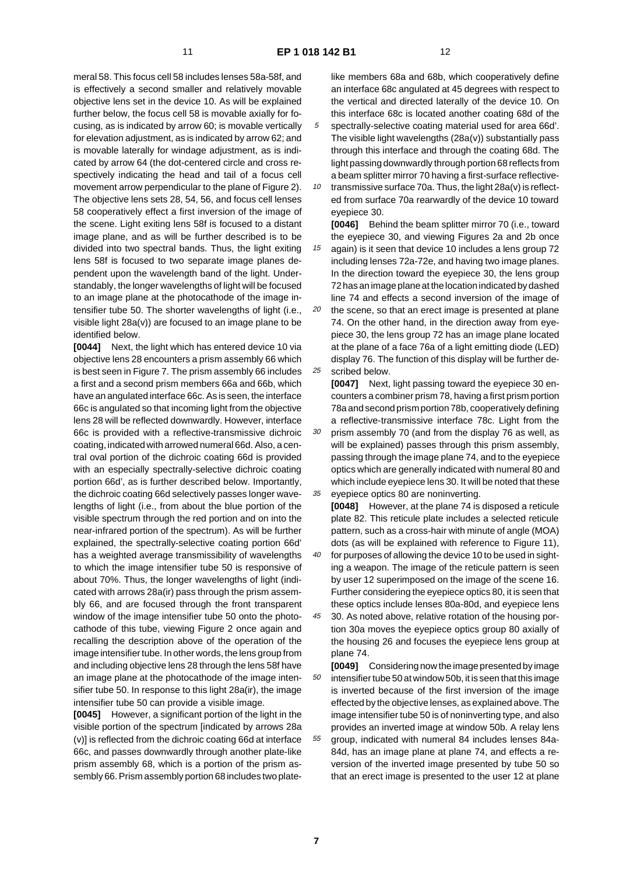meral 58. This focus cell 58 includes lenses 58a-58f, and is effectively a second smaller and relatively movable objective lens set in the device 10. As will be explained further below, the focus cell 58 is movable axially for focusing, as is indicated by arrow 60; is movable vertically for elevation adjustment, as is indicated by arrow 62; and is movable laterally for windage adjustment, as is indicated by arrow 64 (the dot-centered circle and cross respectively indicating the head and tail of a focus cell movement arrow perpendicular to the plane of Figure 2). The objective lens sets 28, 54, 56, and focus cell lenses 58 cooperatively effect a first inversion of the image of the scene. Light exiting lens 58f is focused to a distant image plane, and as will be further described is to be divided into two spectral bands. Thus, the light exiting lens 58f is focused to two separate image planes dependent upon the wavelength band of the light. Understandably, the longer wavelengths of light will be focused to an image plane at the photocathode of the image intensifier tube 50. The shorter wavelengths of light (i.e., visible light 28a(v)) are focused to an image plane to be identified below.

**[0044]** Next, the light which has entered device 10 via objective lens 28 encounters a prism assembly 66 which is best seen in Figure 7. The prism assembly 66 includes a first and a second prism members 66a and 66b, which have an angulated interface 66c. As is seen, the interface 66c is angulated so that incoming light from the objective lens 28 will be reflected downwardly. However, interface 66c is provided with a reflective-transmissive dichroic coating, indicated with arrowed numeral 66d. Also, a central oval portion of the dichroic coating 66d is provided with an especially spectrally-selective dichroic coating portion 66d', as is further described below. Importantly, the dichroic coating 66d selectively passes longer wavelengths of light (i.e., from about the blue portion of the visible spectrum through the red portion and on into the near-infrared portion of the spectrum). As will be further explained, the spectrally-selective coating portion 66d' has a weighted average transmissibility of wavelengths to which the image intensifier tube 50 is responsive of about 70%. Thus, the longer wavelengths of light (indicated with arrows 28a(ir) pass through the prism assembly 66, and are focused through the front transparent window of the image intensifier tube 50 onto the photocathode of this tube, viewing Figure 2 once again and recalling the description above of the operation of the image intensifier tube. In other words, the lens group from and including objective lens 28 through the lens 58f have an image plane at the photocathode of the image intensifier tube 50. In response to this light 28a(ir), the image intensifier tube 50 can provide a visible image.

**[0045]** However, a significant portion of the light in the visible portion of the spectrum [indicated by arrows 28a (v)] is reflected from the dichroic coating 66d at interface 66c, and passes downwardly through another plate-like prism assembly 68, which is a portion of the prism assembly 66. Prism assembly portion 68 includes two platelike members 68a and 68b, which cooperatively define an interface 68c angulated at 45 degrees with respect to the vertical and directed laterally of the device 10. On this interface 68c is located another coating 68d of the

- 5 spectrally-selective coating material used for area 66d'. The visible light wavelengths (28a(v)) substantially pass through this interface and through the coating 68d. The light passing downwardly through portion 68 reflects from a beam splitter mirror 70 having a first-surface reflective-
- 10 transmissive surface 70a. Thus, the light 28a(v) is reflected from surface 70a rearwardly of the device 10 toward eyepiece 30.

**[0046]** Behind the beam splitter mirror 70 (i.e., toward the eyepiece 30, and viewing Figures 2a and 2b once

15 again) is it seen that device 10 includes a lens group 72 including lenses 72a-72e, and having two image planes. In the direction toward the eyepiece 30, the lens group 72 has an image plane at the location indicated by dashed line 74 and effects a second inversion of the image of

20 25 the scene, so that an erect image is presented at plane 74. On the other hand, in the direction away from eyepiece 30, the lens group 72 has an image plane located at the plane of a face 76a of a light emitting diode (LED) display 76. The function of this display will be further described below.

**[0047]** Next, light passing toward the eyepiece 30 encounters a combiner prism 78, having a first prism portion 78a and second prism portion 78b, cooperatively defining a reflective-transmissive interface 78c. Light from the

30 35 prism assembly 70 (and from the display 76 as well, as will be explained) passes through this prism assembly, passing through the image plane 74, and to the eyepiece optics which are generally indicated with numeral 80 and which include eyepiece lens 30. It will be noted that these eyepiece optics 80 are noninverting.

**[0048]** However, at the plane 74 is disposed a reticule plate 82. This reticule plate includes a selected reticule pattern, such as a cross-hair with minute of angle (MOA) dots (as will be explained with reference to Figure 11).

- 40 for purposes of allowing the device 10 to be used in sighting a weapon. The image of the reticule pattern is seen by user 12 superimposed on the image of the scene 16. Further considering the eyepiece optics 80, it is seen that these optics include lenses 80a-80d, and eyepiece lens
- 45 30. As noted above, relative rotation of the housing portion 30a moves the eyepiece optics group 80 axially of the housing 26 and focuses the eyepiece lens group at plane 74.

50 55 **[0049]** Considering now the image presented by image intensifier tube 50 at window 50b, it is seen that this image is inverted because of the first inversion of the image effected by the objective lenses, as explained above. The image intensifier tube 50 is of noninverting type, and also provides an inverted image at window 50b. A relay lens group, indicated with numeral 84 includes lenses 84a-84d, has an image plane at plane 74, and effects a reversion of the inverted image presented by tube 50 so that an erect image is presented to the user 12 at plane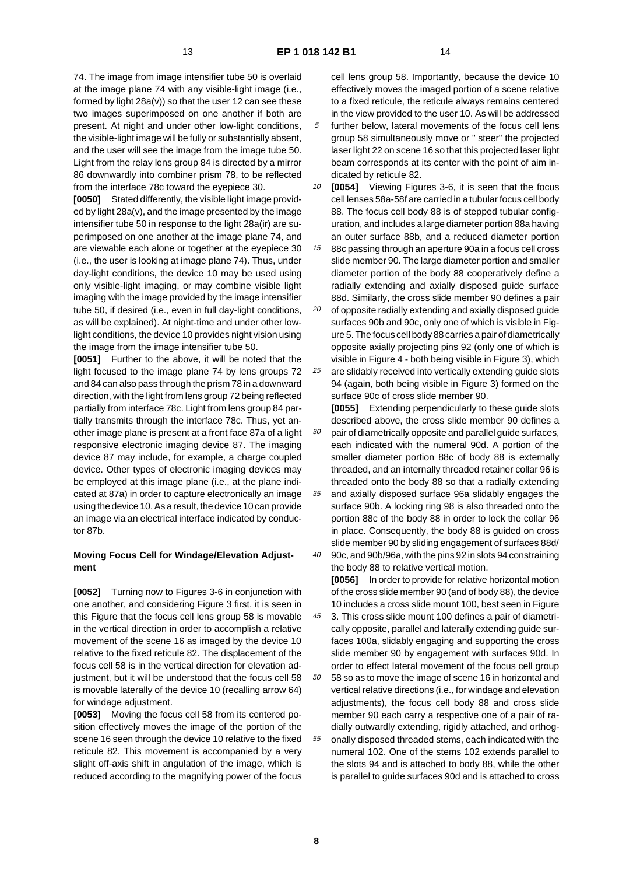74. The image from image intensifier tube 50 is overlaid at the image plane 74 with any visible-light image (i.e., formed by light 28a(v)) so that the user 12 can see these two images superimposed on one another if both are present. At night and under other low-light conditions, the visible-light image will be fully or substantially absent, and the user will see the image from the image tube 50. Light from the relay lens group 84 is directed by a mirror 86 downwardly into combiner prism 78, to be reflected from the interface 78c toward the eyepiece 30.

**[0050]** Stated differently, the visible light image provided by light 28a(v), and the image presented by the image intensifier tube 50 in response to the light 28a(ir) are superimposed on one another at the image plane 74, and are viewable each alone or together at the eyepiece 30 (i.e., the user is looking at image plane 74). Thus, under day-light conditions, the device 10 may be used using only visible-light imaging, or may combine visible light imaging with the image provided by the image intensifier tube 50, if desired (i.e., even in full day-light conditions, as will be explained). At night-time and under other lowlight conditions, the device 10 provides night vision using the image from the image intensifier tube 50.

**[0051]** Further to the above, it will be noted that the light focused to the image plane 74 by lens groups 72 and 84 can also pass through the prism 78 in a downward direction, with the light from lens group 72 being reflected partially from interface 78c. Light from lens group 84 partially transmits through the interface 78c. Thus, yet another image plane is present at a front face 87a of a light responsive electronic imaging device 87. The imaging device 87 may include, for example, a charge coupled device. Other types of electronic imaging devices may be employed at this image plane (i.e., at the plane indicated at 87a) in order to capture electronically an image using the device 10. As a result, the device 10 can provide an image via an electrical interface indicated by conductor 87b.

### **Moving Focus Cell for Windage/Elevation Adjustment**

**[0052]** Turning now to Figures 3-6 in conjunction with one another, and considering Figure 3 first, it is seen in this Figure that the focus cell lens group 58 is movable in the vertical direction in order to accomplish a relative movement of the scene 16 as imaged by the device 10 relative to the fixed reticule 82. The displacement of the focus cell 58 is in the vertical direction for elevation adjustment, but it will be understood that the focus cell 58 is movable laterally of the device 10 (recalling arrow 64) for windage adjustment.

**[0053]** Moving the focus cell 58 from its centered position effectively moves the image of the portion of the scene 16 seen through the device 10 relative to the fixed reticule 82. This movement is accompanied by a very slight off-axis shift in angulation of the image, which is reduced according to the magnifying power of the focus

cell lens group 58. Importantly, because the device 10 effectively moves the imaged portion of a scene relative to a fixed reticule, the reticule always remains centered in the view provided to the user 10. As will be addressed

- 5 further below, lateral movements of the focus cell lens group 58 simultaneously move or " steer" the projected laser light 22 on scene 16 so that this projected laser light beam corresponds at its center with the point of aim indicated by reticule 82.
- 10 **[0054]** Viewing Figures 3-6, it is seen that the focus cell lenses 58a-58f are carried in a tubular focus cell body 88. The focus cell body 88 is of stepped tubular configuration, and includes a large diameter portion 88a having an outer surface 88b, and a reduced diameter portion
- 15 88c passing through an aperture 90a in a focus cell cross slide member 90. The large diameter portion and smaller diameter portion of the body 88 cooperatively define a radially extending and axially disposed guide surface 88d. Similarly, the cross slide member 90 defines a pair
- 20 25 of opposite radially extending and axially disposed guide surfaces 90b and 90c, only one of which is visible in Figure 5. The focus cell body 88 carries a pair of diametrically opposite axially projecting pins 92 (only one of which is visible in Figure 4 - both being visible in Figure 3), which are slidably received into vertically extending guide slots
- 94 (again, both being visible in Figure 3) formed on the surface 90c of cross slide member 90.

30 **[0055]** Extending perpendicularly to these guide slots described above, the cross slide member 90 defines a pair of diametrically opposite and parallel guide surfaces, each indicated with the numeral 90d. A portion of the smaller diameter portion 88c of body 88 is externally threaded, and an internally threaded retainer collar 96 is threaded onto the body 88 so that a radially extending

35 40 and axially disposed surface 96a slidably engages the surface 90b. A locking ring 98 is also threaded onto the portion 88c of the body 88 in order to lock the collar 96 in place. Consequently, the body 88 is guided on cross slide member 90 by sliding engagement of surfaces 88d/

90c, and 90b/96a, with the pins 92 in slots 94 constraining the body 88 to relative vertical motion. **[0056]** In order to provide for relative horizontal motion of the cross slide member 90 (and of body 88), the device

10 includes a cross slide mount 100, best seen in Figure

45 50 55 3. This cross slide mount 100 defines a pair of diametrically opposite, parallel and laterally extending guide surfaces 100a, slidably engaging and supporting the cross slide member 90 by engagement with surfaces 90d. In order to effect lateral movement of the focus cell group 58 so as to move the image of scene 16 in horizontal and vertical relative directions (i.e., for windage and elevation adjustments), the focus cell body 88 and cross slide member 90 each carry a respective one of a pair of radially outwardly extending, rigidly attached, and orthogonally disposed threaded stems, each indicated with the numeral 102. One of the stems 102 extends parallel to the slots 94 and is attached to body 88, while the other is parallel to guide surfaces 90d and is attached to cross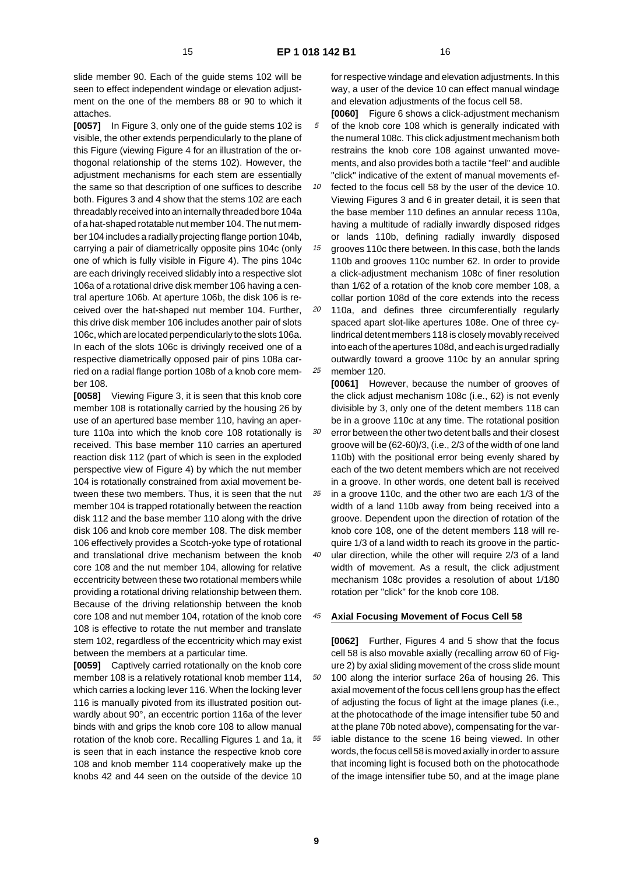slide member 90. Each of the guide stems 102 will be seen to effect independent windage or elevation adjustment on the one of the members 88 or 90 to which it attaches.

**[0057]** In Figure 3, only one of the guide stems 102 is visible, the other extends perpendicularly to the plane of this Figure (viewing Figure 4 for an illustration of the orthogonal relationship of the stems 102). However, the adjustment mechanisms for each stem are essentially the same so that description of one suffices to describe both. Figures 3 and 4 show that the stems 102 are each threadably received into an internally threaded bore 104a of a hat-shaped rotatable nut member 104. The nut member 104 includes a radially projecting flange portion 104b, carrying a pair of diametrically opposite pins 104c (only one of which is fully visible in Figure 4). The pins 104c are each drivingly received slidably into a respective slot 106a of a rotational drive disk member 106 having a central aperture 106b. At aperture 106b, the disk 106 is received over the hat-shaped nut member 104. Further, this drive disk member 106 includes another pair of slots 106c, which are located perpendicularly to the slots 106a. In each of the slots 106c is drivingly received one of a respective diametrically opposed pair of pins 108a carried on a radial flange portion 108b of a knob core member 108.

**[0058]** Viewing Figure 3, it is seen that this knob core member 108 is rotationally carried by the housing 26 by use of an apertured base member 110, having an aperture 110a into which the knob core 108 rotationally is received. This base member 110 carries an apertured reaction disk 112 (part of which is seen in the exploded perspective view of Figure 4) by which the nut member 104 is rotationally constrained from axial movement between these two members. Thus, it is seen that the nut member 104 is trapped rotationally between the reaction disk 112 and the base member 110 along with the drive disk 106 and knob core member 108. The disk member 106 effectively provides a Scotch-yoke type of rotational and translational drive mechanism between the knob core 108 and the nut member 104, allowing for relative eccentricity between these two rotational members while providing a rotational driving relationship between them. Because of the driving relationship between the knob core 108 and nut member 104, rotation of the knob core 108 is effective to rotate the nut member and translate stem 102, regardless of the eccentricity which may exist between the members at a particular time.

**[0059]** Captively carried rotationally on the knob core member 108 is a relatively rotational knob member 114, which carries a locking lever 116. When the locking lever 116 is manually pivoted from its illustrated position outwardly about 90°, an eccentric portion 116a of the lever binds with and grips the knob core 108 to allow manual rotation of the knob core. Recalling Figures 1 and 1a, it is seen that in each instance the respective knob core 108 and knob member 114 cooperatively make up the knobs 42 and 44 seen on the outside of the device 10

for respective windage and elevation adjustments. In this way, a user of the device 10 can effect manual windage and elevation adjustments of the focus cell 58.

- 5 **[0060]** Figure 6 shows a click-adjustment mechanism of the knob core 108 which is generally indicated with the numeral 108c. This click adjustment mechanism both restrains the knob core 108 against unwanted movements, and also provides both a tactile "feel" and audible "click" indicative of the extent of manual movements ef-
- 10 fected to the focus cell 58 by the user of the device 10. Viewing Figures 3 and 6 in greater detail, it is seen that the base member 110 defines an annular recess 110a, having a multitude of radially inwardly disposed ridges or lands 110b, defining radially inwardly disposed

15 grooves 110c there between. In this case, both the lands 110b and grooves 110c number 62. In order to provide a click-adjustment mechanism 108c of finer resolution than 1/62 of a rotation of the knob core member 108, a collar portion 108d of the core extends into the recess

20 25 110a, and defines three circumferentially regularly spaced apart slot-like apertures 108e. One of three cylindrical detent members 118 is closely movably received into each of the apertures 108d, and each is urged radially outwardly toward a groove 110c by an annular spring member 120.

**[0061]** However, because the number of grooves of the click adjust mechanism 108c (i.e., 62) is not evenly divisible by 3, only one of the detent members 118 can be in a groove 110c at any time. The rotational position error between the other two detent balls and their closest groove will be (62-60)/3, (i.e., 2/3 of the width of one land

- 35 110b) with the positional error being evenly shared by each of the two detent members which are not received in a groove. In other words, one detent ball is received in a groove 110c, and the other two are each 1/3 of the
- 40 width of a land 110b away from being received into a groove. Dependent upon the direction of rotation of the knob core 108, one of the detent members 118 will require 1/3 of a land width to reach its groove in the particular direction, while the other will require 2/3 of a land width of movement. As a result, the click adjustment

mechanism 108c provides a resolution of about 1/180

#### 45 **Axial Focusing Movement of Focus Cell 58**

rotation per "click" for the knob core 108.

50 55 **[0062]** Further, Figures 4 and 5 show that the focus cell 58 is also movable axially (recalling arrow 60 of Figure 2) by axial sliding movement of the cross slide mount 100 along the interior surface 26a of housing 26. This axial movement of the focus cell lens group has the effect of adjusting the focus of light at the image planes (i.e., at the photocathode of the image intensifier tube 50 and at the plane 70b noted above), compensating for the variable distance to the scene 16 being viewed. In other words, the focus cell 58 is moved axially in order to assure that incoming light is focused both on the photocathode of the image intensifier tube 50, and at the image plane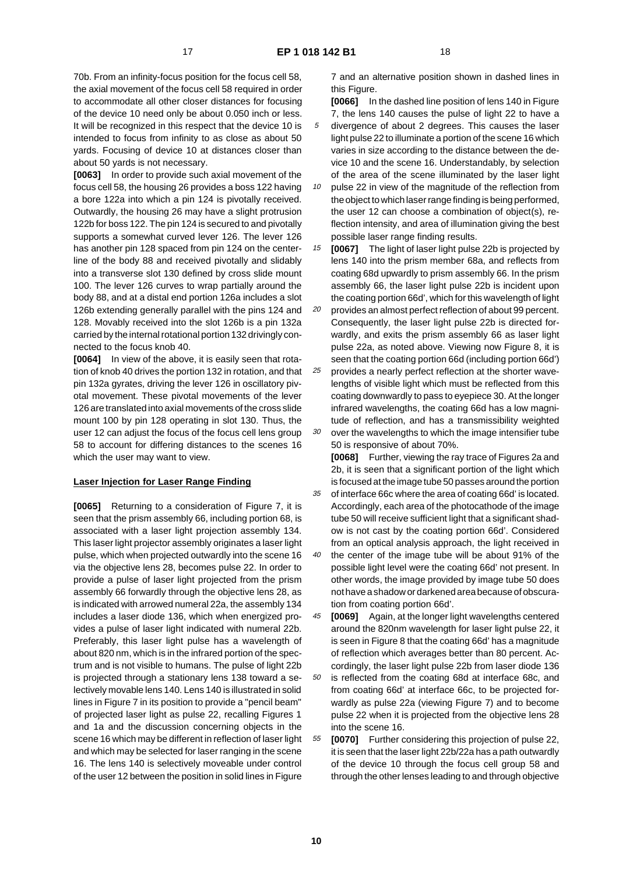70b. From an infinity-focus position for the focus cell 58, the axial movement of the focus cell 58 required in order to accommodate all other closer distances for focusing of the device 10 need only be about 0.050 inch or less. It will be recognized in this respect that the device 10 is intended to focus from infinity to as close as about 50 yards. Focusing of device 10 at distances closer than about 50 yards is not necessary.

**[0063]** In order to provide such axial movement of the focus cell 58, the housing 26 provides a boss 122 having a bore 122a into which a pin 124 is pivotally received. Outwardly, the housing 26 may have a slight protrusion 122b for boss 122. The pin 124 is secured to and pivotally supports a somewhat curved lever 126. The lever 126 has another pin 128 spaced from pin 124 on the centerline of the body 88 and received pivotally and slidably into a transverse slot 130 defined by cross slide mount 100. The lever 126 curves to wrap partially around the body 88, and at a distal end portion 126a includes a slot 126b extending generally parallel with the pins 124 and 128. Movably received into the slot 126b is a pin 132a carried by the internal rotational portion 132 drivingly connected to the focus knob 40.

**[0064]** In view of the above, it is easily seen that rotation of knob 40 drives the portion 132 in rotation, and that pin 132a gyrates, driving the lever 126 in oscillatory pivotal movement. These pivotal movements of the lever 126 are translated into axial movements of the cross slide mount 100 by pin 128 operating in slot 130. Thus, the user 12 can adjust the focus of the focus cell lens group 58 to account for differing distances to the scenes 16 which the user may want to view.

### **Laser Injection for Laser Range Finding**

**[0065]** Returning to a consideration of Figure 7, it is seen that the prism assembly 66, including portion 68, is associated with a laser light projection assembly 134. This laser light projector assembly originates a laser light pulse, which when projected outwardly into the scene 16 via the objective lens 28, becomes pulse 22. In order to provide a pulse of laser light projected from the prism assembly 66 forwardly through the objective lens 28, as is indicated with arrowed numeral 22a, the assembly 134 includes a laser diode 136, which when energized provides a pulse of laser light indicated with numeral 22b. Preferably, this laser light pulse has a wavelength of about 820 nm, which is in the infrared portion of the spectrum and is not visible to humans. The pulse of light 22b is projected through a stationary lens 138 toward a selectively movable lens 140. Lens 140 is illustrated in solid lines in Figure 7 in its position to provide a "pencil beam" of projected laser light as pulse 22, recalling Figures 1 and 1a and the discussion concerning objects in the scene 16 which may be different in reflection of laser light and which may be selected for laser ranging in the scene 16. The lens 140 is selectively moveable under control of the user 12 between the position in solid lines in Figure

7 and an alternative position shown in dashed lines in this Figure.

5 **[0066]** In the dashed line position of lens 140 in Figure 7, the lens 140 causes the pulse of light 22 to have a divergence of about 2 degrees. This causes the laser light pulse 22 to illuminate a portion of the scene 16 which varies in size according to the distance between the device 10 and the scene 16. Understandably, by selection of the area of the scene illuminated by the laser light

10 pulse 22 in view of the magnitude of the reflection from the object to which laser range finding is being performed, the user 12 can choose a combination of object(s), reflection intensity, and area of illumination giving the best possible laser range finding results.

15 **[0067]** The light of laser light pulse 22b is projected by lens 140 into the prism member 68a, and reflects from coating 68d upwardly to prism assembly 66. In the prism assembly 66, the laser light pulse 22b is incident upon the coating portion 66d', which for this wavelength of light

20 provides an almost perfect reflection of about 99 percent. Consequently, the laser light pulse 22b is directed forwardly, and exits the prism assembly 66 as laser light pulse 22a, as noted above. Viewing now Figure 8, it is seen that the coating portion 66d (including portion 66d')

25 30 provides a nearly perfect reflection at the shorter wavelengths of visible light which must be reflected from this coating downwardly to pass to eyepiece 30. At the longer infrared wavelengths, the coating 66d has a low magnitude of reflection, and has a transmissibility weighted

over the wavelengths to which the image intensifier tube 50 is responsive of about 70%.

**[0068]** Further, viewing the ray trace of Figures 2a and 2b, it is seen that a significant portion of the light which is focused at the image tube 50 passes around the portion

35 of interface 66c where the area of coating 66d' is located. Accordingly, each area of the photocathode of the image tube 50 will receive sufficient light that a significant shadow is not cast by the coating portion 66d'. Considered from an optical analysis approach, the light received in

40 the center of the image tube will be about 91% of the possible light level were the coating 66d' not present. In other words, the image provided by image tube 50 does not have a shadow or darkened area because of obscuration from coating portion 66d'.

45 **[0069]** Again, at the longer light wavelengths centered around the 820nm wavelength for laser light pulse 22, it is seen in Figure 8 that the coating 66d' has a magnitude of reflection which averages better than 80 percent. Accordingly, the laser light pulse 22b from laser diode 136

50 is reflected from the coating 68d at interface 68c, and from coating 66d' at interface 66c, to be projected forwardly as pulse 22a (viewing Figure 7) and to become pulse 22 when it is projected from the objective lens 28 into the scene 16.

55 **[0070]** Further considering this projection of pulse 22, it is seen that the laser light 22b/22a has a path outwardly of the device 10 through the focus cell group 58 and through the other lenses leading to and through objective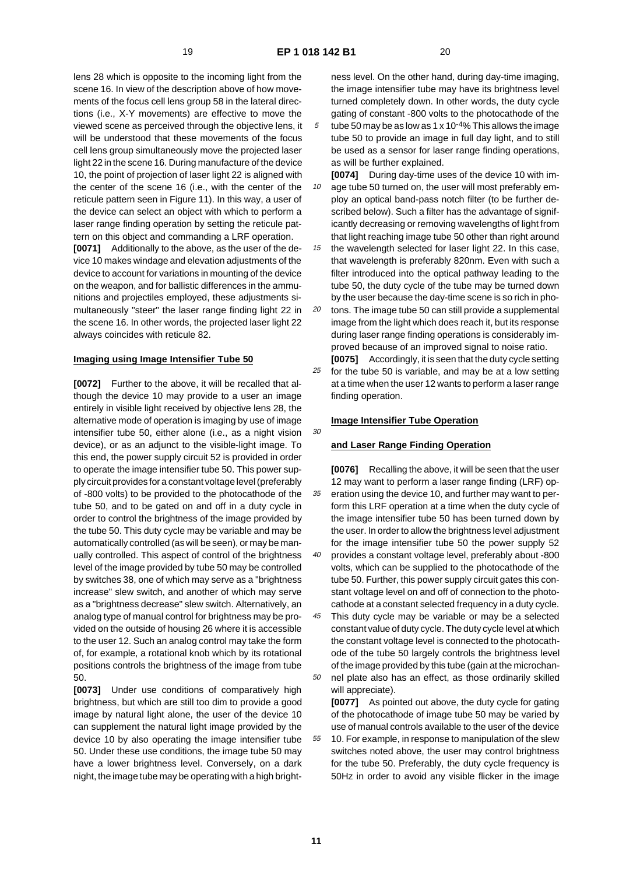lens 28 which is opposite to the incoming light from the scene 16. In view of the description above of how movements of the focus cell lens group 58 in the lateral directions (i.e., X-Y movements) are effective to move the viewed scene as perceived through the objective lens, it will be understood that these movements of the focus cell lens group simultaneously move the projected laser light 22 in the scene 16. During manufacture of the device 10, the point of projection of laser light 22 is aligned with the center of the scene 16 (i.e., with the center of the reticule pattern seen in Figure 11). In this way, a user of the device can select an object with which to perform a laser range finding operation by setting the reticule pattern on this object and commanding a LRF operation.

**[0071]** Additionally to the above, as the user of the device 10 makes windage and elevation adjustments of the device to account for variations in mounting of the device on the weapon, and for ballistic differences in the ammunitions and projectiles employed, these adjustments simultaneously "steer" the laser range finding light 22 in the scene 16. In other words, the projected laser light 22 always coincides with reticule 82.

#### **Imaging using Image Intensifier Tube 50**

**[0072]** Further to the above, it will be recalled that although the device 10 may provide to a user an image entirely in visible light received by objective lens 28, the alternative mode of operation is imaging by use of image intensifier tube 50, either alone (i.e., as a night vision device), or as an adjunct to the visible-light image. To this end, the power supply circuit 52 is provided in order to operate the image intensifier tube 50. This power supply circuit provides for a constant voltage level (preferably of -800 volts) to be provided to the photocathode of the tube 50, and to be gated on and off in a duty cycle in order to control the brightness of the image provided by the tube 50. This duty cycle may be variable and may be automatically controlled (as will be seen), or may be manually controlled. This aspect of control of the brightness level of the image provided by tube 50 may be controlled by switches 38, one of which may serve as a "brightness increase" slew switch, and another of which may serve as a "brightness decrease" slew switch. Alternatively, an analog type of manual control for brightness may be provided on the outside of housing 26 where it is accessible to the user 12. Such an analog control may take the form of, for example, a rotational knob which by its rotational positions controls the brightness of the image from tube 50.

**[0073]** Under use conditions of comparatively high brightness, but which are still too dim to provide a good image by natural light alone, the user of the device 10 can supplement the natural light image provided by the device 10 by also operating the image intensifier tube 50. Under these use conditions, the image tube 50 may have a lower brightness level. Conversely, on a dark night, the image tube may be operating with a high brightness level. On the other hand, during day-time imaging, the image intensifier tube may have its brightness level turned completely down. In other words, the duty cycle gating of constant -800 volts to the photocathode of the

- 5 tube 50 may be as low as 1 x  $10^{-4}$ % This allows the image tube 50 to provide an image in full day light, and to still be used as a sensor for laser range finding operations, as will be further explained.
- 10 **[0074]** During day-time uses of the device 10 with image tube 50 turned on, the user will most preferably employ an optical band-pass notch filter (to be further described below). Such a filter has the advantage of significantly decreasing or removing wavelengths of light from that light reaching image tube 50 other than right around

15 the wavelength selected for laser light 22. In this case, that wavelength is preferably 820nm. Even with such a filter introduced into the optical pathway leading to the tube 50, the duty cycle of the tube may be turned down by the user because the day-time scene is so rich in pho-

20 tons. The image tube 50 can still provide a supplemental image from the light which does reach it, but its response during laser range finding operations is considerably improved because of an improved signal to noise ratio.

25 **[0075]** Accordingly, it is seen that the duty cycle setting for the tube 50 is variable, and may be at a low setting at a time when the user 12 wants to perform a laser range finding operation.

### **Image Intensifier Tube Operation**

#### **and Laser Range Finding Operation**

35 40 **[0076]** Recalling the above, it will be seen that the user 12 may want to perform a laser range finding (LRF) operation using the device 10, and further may want to perform this LRF operation at a time when the duty cycle of the image intensifier tube 50 has been turned down by the user. In order to allow the brightness level adjustment for the image intensifier tube 50 the power supply 52 provides a constant voltage level, preferably about -800

volts, which can be supplied to the photocathode of the tube 50. Further, this power supply circuit gates this constant voltage level on and off of connection to the photocathode at a constant selected frequency in a duty cycle.

45 50 This duty cycle may be variable or may be a selected constant value of duty cycle. The duty cycle level at which the constant voltage level is connected to the photocathode of the tube 50 largely controls the brightness level of the image provided by this tube (gain at the microchannel plate also has an effect, as those ordinarily skilled

55 will appreciate). **[0077]** As pointed out above, the duty cycle for gating of the photocathode of image tube 50 may be varied by use of manual controls available to the user of the device 10. For example, in response to manipulation of the slew switches noted above, the user may control brightness for the tube 50. Preferably, the duty cycle frequency is 50Hz in order to avoid any visible flicker in the image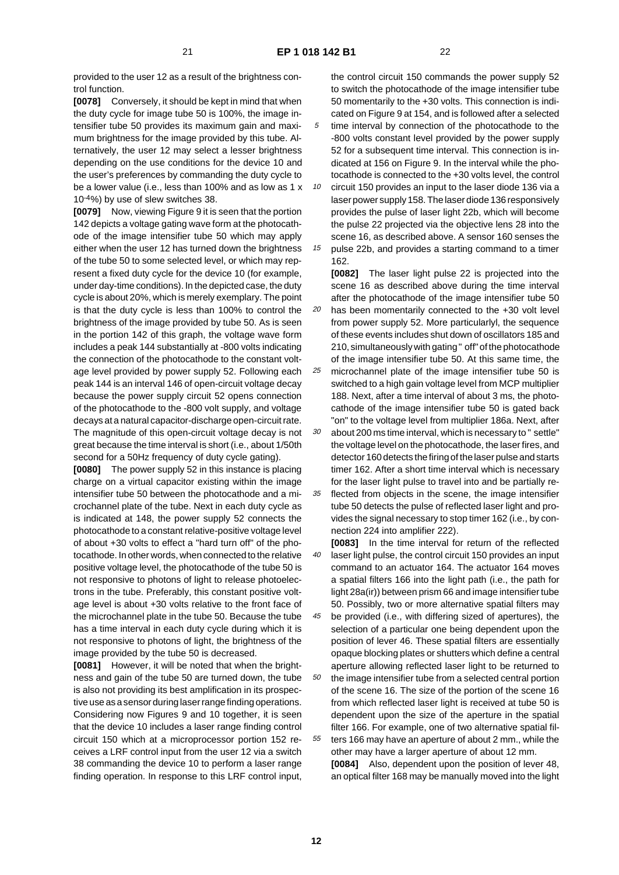**[0078]** Conversely, it should be kept in mind that when the duty cycle for image tube 50 is 100%, the image intensifier tube 50 provides its maximum gain and maximum brightness for the image provided by this tube. Alternatively, the user 12 may select a lesser brightness depending on the use conditions for the device 10 and the user's preferences by commanding the duty cycle to be a lower value (i.e., less than 100% and as low as 1 x 10-4%) by use of slew switches 38.

**[0079]** Now, viewing Figure 9 it is seen that the portion 142 depicts a voltage gating wave form at the photocathode of the image intensifier tube 50 which may apply either when the user 12 has turned down the brightness of the tube 50 to some selected level, or which may represent a fixed duty cycle for the device 10 (for example, under day-time conditions). In the depicted case, the duty cycle is about 20%, which is merely exemplary. The point is that the duty cycle is less than 100% to control the brightness of the image provided by tube 50. As is seen in the portion 142 of this graph, the voltage wave form includes a peak 144 substantially at -800 volts indicating the connection of the photocathode to the constant voltage level provided by power supply 52. Following each peak 144 is an interval 146 of open-circuit voltage decay because the power supply circuit 52 opens connection of the photocathode to the -800 volt supply, and voltage decays at a natural capacitor-discharge open-circuit rate. The magnitude of this open-circuit voltage decay is not great because the time interval is short (i.e., about 1/50th second for a 50Hz frequency of duty cycle gating).

**[0080]** The power supply 52 in this instance is placing charge on a virtual capacitor existing within the image intensifier tube 50 between the photocathode and a microchannel plate of the tube. Next in each duty cycle as is indicated at 148, the power supply 52 connects the photocathode to a constant relative-positive voltage level of about +30 volts to effect a "hard turn off" of the photocathode. In other words, when connected to the relative positive voltage level, the photocathode of the tube 50 is not responsive to photons of light to release photoelectrons in the tube. Preferably, this constant positive voltage level is about +30 volts relative to the front face of the microchannel plate in the tube 50. Because the tube has a time interval in each duty cycle during which it is not responsive to photons of light, the brightness of the image provided by the tube 50 is decreased.

**[0081]** However, it will be noted that when the brightness and gain of the tube 50 are turned down, the tube is also not providing its best amplification in its prospective use as a sensor during laser range finding operations. Considering now Figures 9 and 10 together, it is seen that the device 10 includes a laser range finding control circuit 150 which at a microprocessor portion 152 receives a LRF control input from the user 12 via a switch 38 commanding the device 10 to perform a laser range finding operation. In response to this LRF control input, the control circuit 150 commands the power supply 52 to switch the photocathode of the image intensifier tube 50 momentarily to the +30 volts. This connection is indicated on Figure 9 at 154, and is followed after a selected time interval by connection of the photocathode to the -800 volts constant level provided by the power supply 52 for a subsequent time interval. This connection is indicated at 156 on Figure 9. In the interval while the photocathode is connected to the +30 volts level, the control

10 circuit 150 provides an input to the laser diode 136 via a laser power supply 158. The laser diode 136 responsively provides the pulse of laser light 22b, which will become the pulse 22 projected via the objective lens 28 into the scene 16, as described above. A sensor 160 senses the

15 pulse 22b, and provides a starting command to a timer 162.

20 25 **[0082]** The laser light pulse 22 is projected into the scene 16 as described above during the time interval after the photocathode of the image intensifier tube 50 has been momentarily connected to the +30 volt level from power supply 52. More particularlyl, the sequence of these events includes shut down of oscillators 185 and 210, simultaneously with gating " off" of the photocathode of the image intensifier tube 50. At this same time, the microchannel plate of the image intensifier tube 50 is

switched to a high gain voltage level from MCP multiplier 188. Next, after a time interval of about 3 ms, the photocathode of the image intensifier tube 50 is gated back "on" to the voltage level from multiplier 186a. Next, after

30 about 200 ms time interval, which is necessary to " settle" the voltage level on the photocathode, the laser fires, and detector 160 detects the firing of the laser pulse and starts timer 162. After a short time interval which is necessary for the laser light pulse to travel into and be partially re-

35 flected from objects in the scene, the image intensifier tube 50 detects the pulse of reflected laser light and provides the signal necessary to stop timer 162 (i.e., by connection 224 into amplifier 222).

40 **[0083]** In the time interval for return of the reflected laser light pulse, the control circuit 150 provides an input command to an actuator 164. The actuator 164 moves a spatial filters 166 into the light path (i.e., the path for light 28a(ir)) between prism 66 and image intensifier tube 50. Possibly, two or more alternative spatial filters may

45 50 be provided (i.e., with differing sized of apertures), the selection of a particular one being dependent upon the position of lever 46. These spatial filters are essentially opaque blocking plates or shutters which define a central aperture allowing reflected laser light to be returned to the image intensifier tube from a selected central portion

55 of the scene 16. The size of the portion of the scene 16 from which reflected laser light is received at tube 50 is dependent upon the size of the aperture in the spatial filter 166. For example, one of two alternative spatial filters 166 may have an aperture of about 2 mm., while the

other may have a larger aperture of about 12 mm. **[0084]** Also, dependent upon the position of lever 48, an optical filter 168 may be manually moved into the light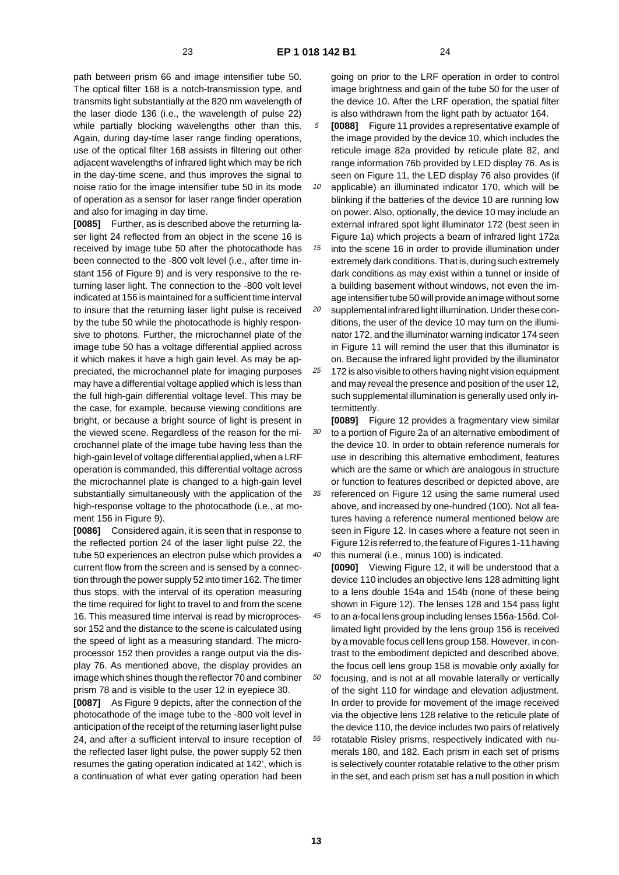path between prism 66 and image intensifier tube 50. The optical filter 168 is a notch-transmission type, and transmits light substantially at the 820 nm wavelength of the laser diode 136 (i.e., the wavelength of pulse 22) while partially blocking wavelengths other than this. Again, during day-time laser range finding operations, use of the optical filter 168 assists in filtering out other adjacent wavelengths of infrared light which may be rich in the day-time scene, and thus improves the signal to noise ratio for the image intensifier tube 50 in its mode of operation as a sensor for laser range finder operation and also for imaging in day time.

**[0085]** Further, as is described above the returning laser light 24 reflected from an object in the scene 16 is received by image tube 50 after the photocathode has been connected to the -800 volt level (i.e., after time instant 156 of Figure 9) and is very responsive to the returning laser light. The connection to the -800 volt level indicated at 156 is maintained for a sufficient time interval to insure that the returning laser light pulse is received by the tube 50 while the photocathode is highly responsive to photons. Further, the microchannel plate of the image tube 50 has a voltage differential applied across it which makes it have a high gain level. As may be appreciated, the microchannel plate for imaging purposes may have a differential voltage applied which is less than the full high-gain differential voltage level. This may be the case, for example, because viewing conditions are bright, or because a bright source of light is present in the viewed scene. Regardless of the reason for the microchannel plate of the image tube having less than the high-gain level of voltage differential applied, when a LRF operation is commanded, this differential voltage across the microchannel plate is changed to a high-gain level substantially simultaneously with the application of the high-response voltage to the photocathode (i.e., at moment 156 in Figure 9).

**[0086]** Considered again, it is seen that in response to the reflected portion 24 of the laser light pulse 22, the tube 50 experiences an electron pulse which provides a current flow from the screen and is sensed by a connection through the power supply 52 into timer 162. The timer thus stops, with the interval of its operation measuring the time required for light to travel to and from the scene 16. This measured time interval is read by microprocessor 152 and the distance to the scene is calculated using the speed of light as a measuring standard. The microprocessor 152 then provides a range output via the display 76. As mentioned above, the display provides an image which shines though the reflector 70 and combiner prism 78 and is visible to the user 12 in eyepiece 30.

**[0087]** As Figure 9 depicts, after the connection of the photocathode of the image tube to the -800 volt level in anticipation of the receipt of the returning laser light pulse 24, and after a sufficient interval to insure reception of the reflected laser light pulse, the power supply 52 then resumes the gating operation indicated at 142', which is a continuation of what ever gating operation had been

going on prior to the LRF operation in order to control image brightness and gain of the tube 50 for the user of the device 10. After the LRF operation, the spatial filter is also withdrawn from the light path by actuator 164.

5 **[0088]** Figure 11 provides a representative example of the image provided by the device 10, which includes the reticule image 82a provided by reticule plate 82, and range information 76b provided by LED display 76. As is seen on Figure 11, the LED display 76 also provides (if

10 applicable) an illuminated indicator 170, which will be blinking if the batteries of the device 10 are running low on power. Also, optionally, the device 10 may include an external infrared spot light illuminator 172 (best seen in Figure 1a) which projects a beam of infrared light 172a

15 into the scene 16 in order to provide illumination under extremely dark conditions. That is, during such extremely dark conditions as may exist within a tunnel or inside of a building basement without windows, not even the image intensifier tube 50 will provide an image without some

20 supplemental infrared light illumination. Under these conditions, the user of the device 10 may turn on the illuminator 172, and the illuminator warning indicator 174 seen in Figure 11 will remind the user that this illuminator is on. Because the infrared light provided by the illuminator

25 172 is also visible to others having night vision equipment and may reveal the presence and position of the user 12, such supplemental illumination is generally used only intermittently.

30 35 40 **[0089]** Figure 12 provides a fragmentary view similar to a portion of Figure 2a of an alternative embodiment of the device 10. In order to obtain reference numerals for use in describing this alternative embodiment, features which are the same or which are analogous in structure or function to features described or depicted above, are referenced on Figure 12 using the same numeral used above, and increased by one-hundred (100). Not all features having a reference numeral mentioned below are seen in Figure 12. In cases where a feature not seen in Figure 12 is referred to, the feature of Figures 1-11 having this numeral (i.e., minus 100) is indicated.

**[0090]** Viewing Figure 12, it will be understood that a device 110 includes an objective lens 128 admitting light to a lens double 154a and 154b (none of these being shown in Figure 12). The lenses 128 and 154 pass light

45 to an a-focal lens group including lenses 156a-156d. Collimated light provided by the lens group 156 is received by a movable focus cell lens group 158. However, in contrast to the embodiment depicted and described above, the focus cell lens group 158 is movable only axially for

50 55 focusing, and is not at all movable laterally or vertically of the sight 110 for windage and elevation adjustment. In order to provide for movement of the image received via the objective lens 128 relative to the reticule plate of the device 110, the device includes two pairs of relatively rotatable Risley prisms, respectively indicated with numerals 180, and 182. Each prism in each set of prisms is selectively counter rotatable relative to the other prism in the set, and each prism set has a null position in which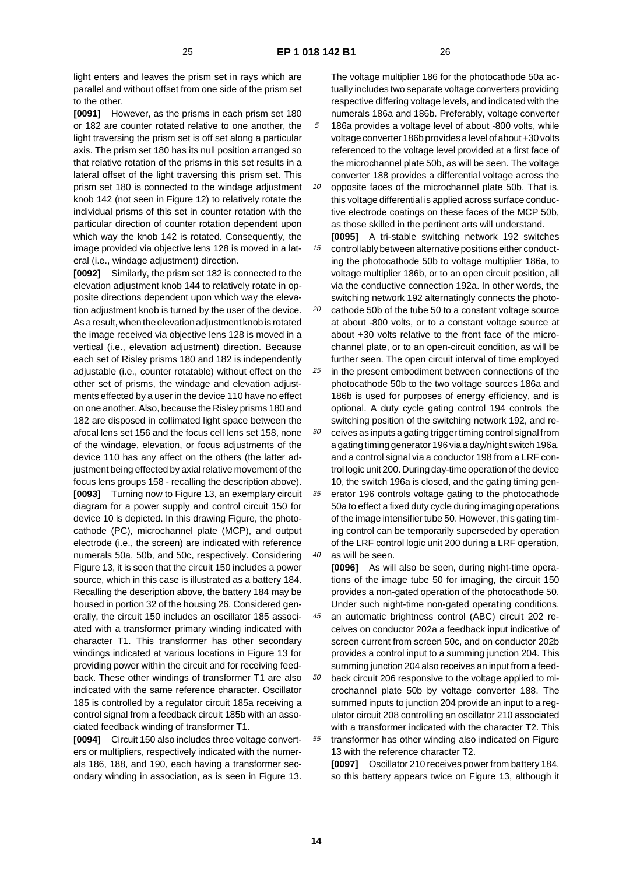light enters and leaves the prism set in rays which are parallel and without offset from one side of the prism set to the other.

**[0091]** However, as the prisms in each prism set 180 or 182 are counter rotated relative to one another, the light traversing the prism set is off set along a particular axis. The prism set 180 has its null position arranged so that relative rotation of the prisms in this set results in a lateral offset of the light traversing this prism set. This prism set 180 is connected to the windage adjustment knob 142 (not seen in Figure 12) to relatively rotate the individual prisms of this set in counter rotation with the particular direction of counter rotation dependent upon which way the knob 142 is rotated. Consequently, the image provided via objective lens 128 is moved in a lateral (i.e., windage adjustment) direction.

**[0092]** Similarly, the prism set 182 is connected to the elevation adjustment knob 144 to relatively rotate in opposite directions dependent upon which way the elevation adjustment knob is turned by the user of the device. As a result, when the elevation adjustment knob is rotated the image received via objective lens 128 is moved in a vertical (i.e., elevation adjustment) direction. Because each set of Risley prisms 180 and 182 is independently adjustable (i.e., counter rotatable) without effect on the other set of prisms, the windage and elevation adjustments effected by a user in the device 110 have no effect on one another. Also, because the Risley prisms 180 and 182 are disposed in collimated light space between the afocal lens set 156 and the focus cell lens set 158, none of the windage, elevation, or focus adjustments of the device 110 has any affect on the others (the latter adjustment being effected by axial relative movement of the focus lens groups 158 - recalling the description above). **[0093]** Turning now to Figure 13, an exemplary circuit diagram for a power supply and control circuit 150 for device 10 is depicted. In this drawing Figure, the photocathode (PC), microchannel plate (MCP), and output electrode (i.e., the screen) are indicated with reference numerals 50a, 50b, and 50c, respectively. Considering Figure 13, it is seen that the circuit 150 includes a power source, which in this case is illustrated as a battery 184. Recalling the description above, the battery 184 may be housed in portion 32 of the housing 26. Considered generally, the circuit 150 includes an oscillator 185 associated with a transformer primary winding indicated with character T1. This transformer has other secondary windings indicated at various locations in Figure 13 for providing power within the circuit and for receiving feedback. These other windings of transformer T1 are also indicated with the same reference character. Oscillator 185 is controlled by a regulator circuit 185a receiving a control signal from a feedback circuit 185b with an associated feedback winding of transformer T1.

**[0094]** Circuit 150 also includes three voltage converters or multipliers, respectively indicated with the numerals 186, 188, and 190, each having a transformer secondary winding in association, as is seen in Figure 13. The voltage multiplier 186 for the photocathode 50a actually includes two separate voltage converters providing respective differing voltage levels, and indicated with the numerals 186a and 186b. Preferably, voltage converter 186a provides a voltage level of about -800 volts, while

voltage converter 186b provides a level of about +30 volts referenced to the voltage level provided at a first face of the microchannel plate 50b, as will be seen. The voltage converter 188 provides a differential voltage across the

10 opposite faces of the microchannel plate 50b. That is, this voltage differential is applied across surface conductive electrode coatings on these faces of the MCP 50b, as those skilled in the pertinent arts will understand.

15 **[0095]** A tri-stable switching network 192 switches controllably between alternative positions either conducting the photocathode 50b to voltage multiplier 186a, to voltage multiplier 186b, or to an open circuit position, all via the conductive connection 192a. In other words, the switching network 192 alternatingly connects the photo-

20 cathode 50b of the tube 50 to a constant voltage source at about -800 volts, or to a constant voltage source at about +30 volts relative to the front face of the microchannel plate, or to an open-circuit condition, as will be further seen. The open circuit interval of time employed

25 in the present embodiment between connections of the photocathode 50b to the two voltage sources 186a and 186b is used for purposes of energy efficiency, and is optional. A duty cycle gating control 194 controls the switching position of the switching network 192, and re-

30 ceives as inputs a gating trigger timing control signal from a gating timing generator 196 via a day/night switch 196a, and a control signal via a conductor 198 from a LRF control logic unit 200. During day-time operation of the device 10, the switch 196a is closed, and the gating timing gen-

35 40 erator 196 controls voltage gating to the photocathode 50a to effect a fixed duty cycle during imaging operations of the image intensifier tube 50. However, this gating timing control can be temporarily superseded by operation of the LRF control logic unit 200 during a LRF operation, as will be seen.

**[0096]** As will also be seen, during night-time operations of the image tube 50 for imaging, the circuit 150 provides a non-gated operation of the photocathode 50. Under such night-time non-gated operating conditions,

45 an automatic brightness control (ABC) circuit 202 receives on conductor 202a a feedback input indicative of screen current from screen 50c, and on conductor 202b provides a control input to a summing junction 204. This summing junction 204 also receives an input from a feed-

50 55 back circuit 206 responsive to the voltage applied to microchannel plate 50b by voltage converter 188. The summed inputs to junction 204 provide an input to a regulator circuit 208 controlling an oscillator 210 associated with a transformer indicated with the character T2. This transformer has other winding also indicated on Figure 13 with the reference character T2.

**[0097]** Oscillator 210 receives power from battery 184, so this battery appears twice on Figure 13, although it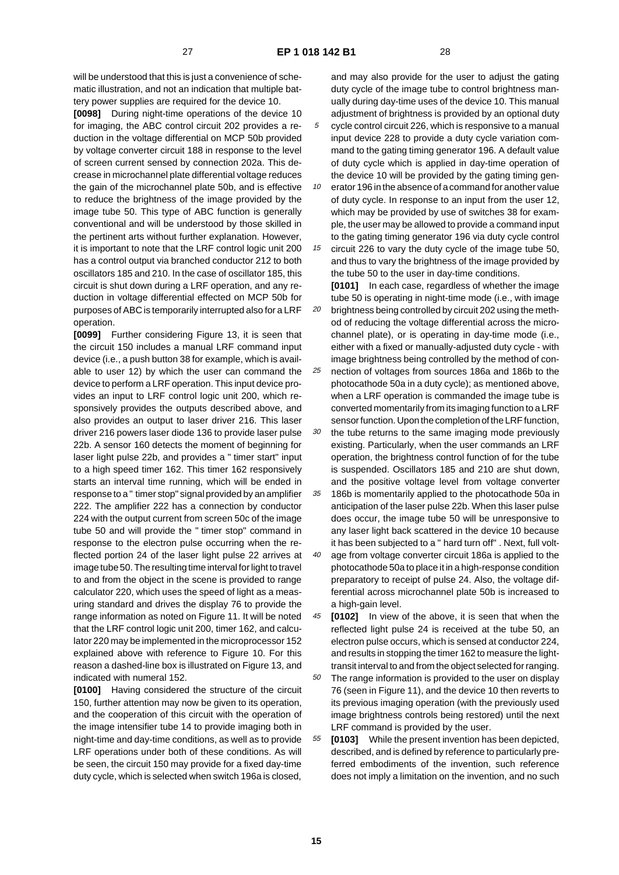**[0098]** During night-time operations of the device 10 for imaging, the ABC control circuit 202 provides a reduction in the voltage differential on MCP 50b provided by voltage converter circuit 188 in response to the level of screen current sensed by connection 202a. This decrease in microchannel plate differential voltage reduces the gain of the microchannel plate 50b, and is effective to reduce the brightness of the image provided by the image tube 50. This type of ABC function is generally conventional and will be understood by those skilled in the pertinent arts without further explanation. However, it is important to note that the LRF control logic unit 200 has a control output via branched conductor 212 to both oscillators 185 and 210. In the case of oscillator 185, this circuit is shut down during a LRF operation, and any reduction in voltage differential effected on MCP 50b for purposes of ABC is temporarily interrupted also for a LRF operation.

**[0099]** Further considering Figure 13, it is seen that the circuit 150 includes a manual LRF command input device (i.e., a push button 38 for example, which is available to user 12) by which the user can command the device to perform a LRF operation. This input device provides an input to LRF control logic unit 200, which responsively provides the outputs described above, and also provides an output to laser driver 216. This laser driver 216 powers laser diode 136 to provide laser pulse 22b. A sensor 160 detects the moment of beginning for laser light pulse 22b, and provides a " timer start" input to a high speed timer 162. This timer 162 responsively starts an interval time running, which will be ended in response to a " timer stop" signal provided by an amplifier 222. The amplifier 222 has a connection by conductor 224 with the output current from screen 50c of the image tube 50 and will provide the " timer stop" command in response to the electron pulse occurring when the reflected portion 24 of the laser light pulse 22 arrives at image tube 50. The resulting time interval for light to travel to and from the object in the scene is provided to range calculator 220, which uses the speed of light as a measuring standard and drives the display 76 to provide the range information as noted on Figure 11. It will be noted that the LRF control logic unit 200, timer 162, and calculator 220 may be implemented in the microprocessor 152 explained above with reference to Figure 10. For this reason a dashed-line box is illustrated on Figure 13, and indicated with numeral 152.

**[0100]** Having considered the structure of the circuit 150, further attention may now be given to its operation, and the cooperation of this circuit with the operation of the image intensifier tube 14 to provide imaging both in night-time and day-time conditions, as well as to provide LRF operations under both of these conditions. As will be seen, the circuit 150 may provide for a fixed day-time duty cycle, which is selected when switch 196a is closed,

and may also provide for the user to adjust the gating duty cycle of the image tube to control brightness manually during day-time uses of the device 10. This manual adjustment of brightness is provided by an optional duty cycle control circuit 226, which is responsive to a manual input device 228 to provide a duty cycle variation com-

- mand to the gating timing generator 196. A default value of duty cycle which is applied in day-time operation of the device 10 will be provided by the gating timing gen-
- 10 15 erator 196 in the absence of a command for another value of duty cycle. In response to an input from the user 12, which may be provided by use of switches 38 for example, the user may be allowed to provide a command input to the gating timing generator 196 via duty cycle control

circuit 226 to vary the duty cycle of the image tube 50, and thus to vary the brightness of the image provided by the tube 50 to the user in day-time conditions.

- 20 **[0101]** In each case, regardless of whether the image tube 50 is operating in night-time mode (i.e., with image brightness being controlled by circuit 202 using the method of reducing the voltage differential across the microchannel plate), or is operating in day-time mode (i.e., either with a fixed or manually-adjusted duty cycle - with image brightness being controlled by the method of con-
- 25 nection of voltages from sources 186a and 186b to the photocathode 50a in a duty cycle); as mentioned above, when a LRF operation is commanded the image tube is converted momentarily from its imaging function to a LRF sensor function. Upon the completion of the LRF function,
- 30 the tube returns to the same imaging mode previously existing. Particularly, when the user commands an LRF operation, the brightness control function of for the tube is suspended. Oscillators 185 and 210 are shut down, and the positive voltage level from voltage converter
- 35 186b is momentarily applied to the photocathode 50a in anticipation of the laser pulse 22b. When this laser pulse does occur, the image tube 50 will be unresponsive to any laser light back scattered in the device 10 because it has been subjected to a " hard turn off" . Next, full volt-
- 40 age from voltage converter circuit 186a is applied to the photocathode 50a to place it in a high-response condition preparatory to receipt of pulse 24. Also, the voltage differential across microchannel plate 50b is increased to a high-gain level.
- 45 **[0102]** In view of the above, it is seen that when the reflected light pulse 24 is received at the tube 50, an electron pulse occurs, which is sensed at conductor 224, and results in stopping the timer 162 to measure the lighttransit interval to and from the object selected for ranging.
- 50 The range information is provided to the user on display 76 (seen in Figure 11), and the device 10 then reverts to its previous imaging operation (with the previously used image brightness controls being restored) until the next LRF command is provided by the user.
- 55 **[0103]** While the present invention has been depicted, described, and is defined by reference to particularly preferred embodiments of the invention, such reference does not imply a limitation on the invention, and no such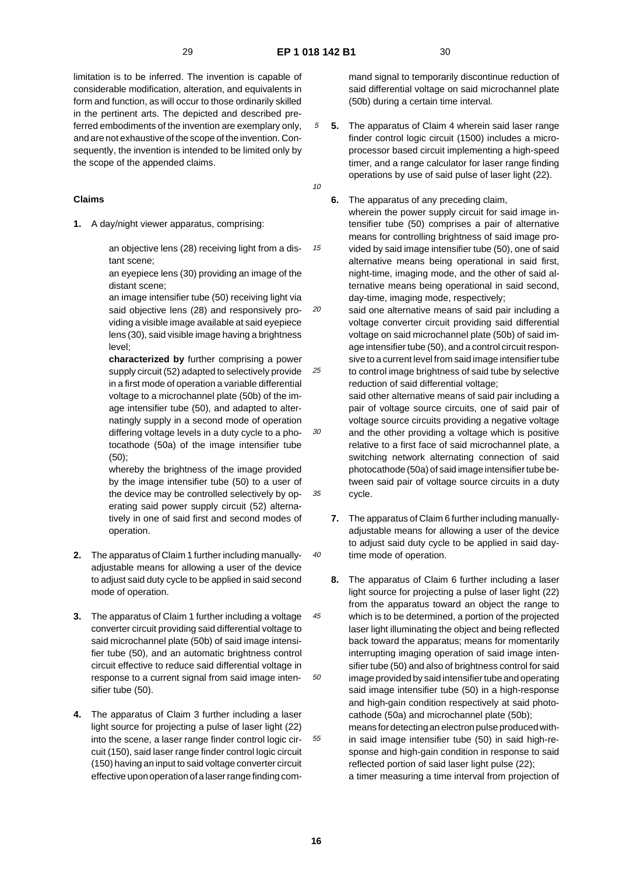15

20

30

35

40

limitation is to be inferred. The invention is capable of considerable modification, alteration, and equivalents in form and function, as will occur to those ordinarily skilled in the pertinent arts. The depicted and described preferred embodiments of the invention are exemplary only, and are not exhaustive of the scope of the invention. Consequently, the invention is intended to be limited only by the scope of the appended claims.

### **Claims**

**1.** A day/night viewer apparatus, comprising:

an objective lens (28) receiving light from a distant scene;

an eyepiece lens (30) providing an image of the distant scene;

an image intensifier tube (50) receiving light via said objective lens (28) and responsively providing a visible image available at said eyepiece lens (30), said visible image having a brightness level;

25 **characterized by** further comprising a power supply circuit (52) adapted to selectively provide in a first mode of operation a variable differential voltage to a microchannel plate (50b) of the image intensifier tube (50), and adapted to alternatingly supply in a second mode of operation differing voltage levels in a duty cycle to a photocathode (50a) of the image intensifier tube (50);

whereby the brightness of the image provided by the image intensifier tube (50) to a user of the device may be controlled selectively by operating said power supply circuit (52) alternatively in one of said first and second modes of operation.

- **2.** The apparatus of Claim 1 further including manuallyadjustable means for allowing a user of the device to adjust said duty cycle to be applied in said second mode of operation.
- 45 50 **3.** The apparatus of Claim 1 further including a voltage converter circuit providing said differential voltage to said microchannel plate (50b) of said image intensifier tube (50), and an automatic brightness control circuit effective to reduce said differential voltage in response to a current signal from said image intensifier tube (50).
- **4.** The apparatus of Claim 3 further including a laser light source for projecting a pulse of laser light (22) into the scene, a laser range finder control logic circuit (150), said laser range finder control logic circuit (150) having an input to said voltage converter circuit effective upon operation of a laser range finding com-

mand signal to temporarily discontinue reduction of said differential voltage on said microchannel plate (50b) during a certain time interval.

- 10 **5.** The apparatus of Claim 4 wherein said laser range finder control logic circuit (1500) includes a microprocessor based circuit implementing a high-speed timer, and a range calculator for laser range finding operations by use of said pulse of laser light (22).
	- **6.** The apparatus of any preceding claim, wherein the power supply circuit for said image intensifier tube (50) comprises a pair of alternative means for controlling brightness of said image provided by said image intensifier tube (50), one of said alternative means being operational in said first, night-time, imaging mode, and the other of said alternative means being operational in said second, day-time, imaging mode, respectively;
	- said one alternative means of said pair including a voltage converter circuit providing said differential voltage on said microchannel plate (50b) of said image intensifier tube (50), and a control circuit responsive to a current level from said image intensifier tube to control image brightness of said tube by selective reduction of said differential voltage;

said other alternative means of said pair including a pair of voltage source circuits, one of said pair of voltage source circuits providing a negative voltage and the other providing a voltage which is positive relative to a first face of said microchannel plate, a switching network alternating connection of said photocathode (50a) of said image intensifier tube between said pair of voltage source circuits in a duty cycle.

- **7.** The apparatus of Claim 6 further including manuallyadjustable means for allowing a user of the device to adjust said duty cycle to be applied in said daytime mode of operation.
- **8.** The apparatus of Claim 6 further including a laser light source for projecting a pulse of laser light (22) from the apparatus toward an object the range to which is to be determined, a portion of the projected laser light illuminating the object and being reflected back toward the apparatus; means for momentarily interrupting imaging operation of said image intensifier tube (50) and also of brightness control for said image provided by said intensifier tube and operating said image intensifier tube (50) in a high-response and high-gain condition respectively at said photocathode (50a) and microchannel plate (50b); means for detecting an electron pulse produced within said image intensifier tube (50) in said high-response and high-gain condition in response to said reflected portion of said laser light pulse (22); a timer measuring a time interval from projection of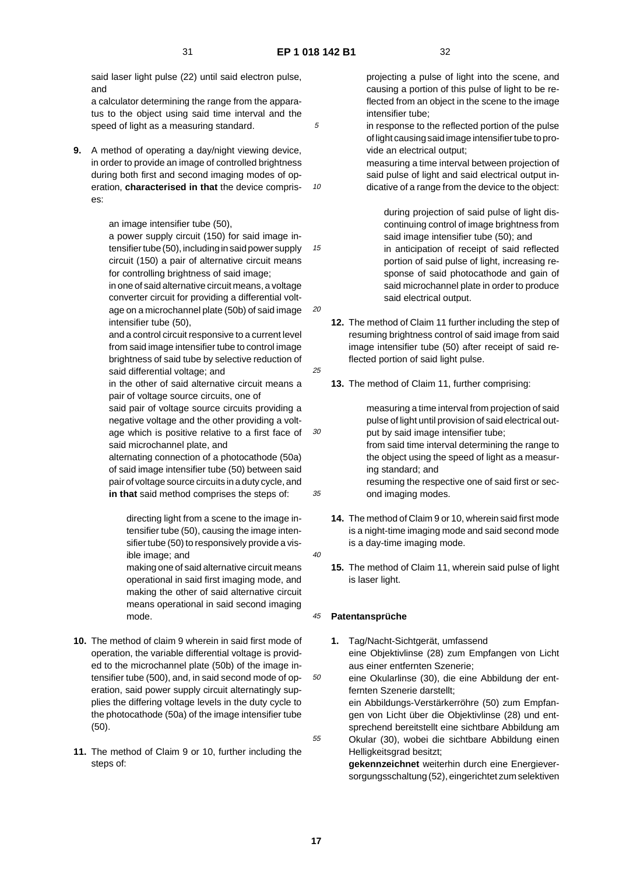10

15

20

25

30

35

said laser light pulse (22) until said electron pulse, and

a calculator determining the range from the apparatus to the object using said time interval and the speed of light as a measuring standard.

**9.** A method of operating a day/night viewing device, in order to provide an image of controlled brightness during both first and second imaging modes of operation, **characterised in that** the device comprises:

an image intensifier tube (50),

a power supply circuit (150) for said image intensifier tube (50), including in said power supply circuit (150) a pair of alternative circuit means for controlling brightness of said image;

in one of said alternative circuit means, a voltage converter circuit for providing a differential voltage on a microchannel plate (50b) of said image intensifier tube (50),

and a control circuit responsive to a current level from said image intensifier tube to control image brightness of said tube by selective reduction of said differential voltage; and

in the other of said alternative circuit means a pair of voltage source circuits, one of

said pair of voltage source circuits providing a negative voltage and the other providing a voltage which is positive relative to a first face of said microchannel plate, and

alternating connection of a photocathode (50a) of said image intensifier tube (50) between said pair of voltage source circuits in a duty cycle, and **in that** said method comprises the steps of:

directing light from a scene to the image intensifier tube (50), causing the image intensifier tube (50) to responsively provide a visible image; and

making one of said alternative circuit means operational in said first imaging mode, and making the other of said alternative circuit means operational in said second imaging mode.

- **10.** The method of claim 9 wherein in said first mode of operation, the variable differential voltage is provided to the microchannel plate (50b) of the image intensifier tube (500), and, in said second mode of operation, said power supply circuit alternatingly supplies the differing voltage levels in the duty cycle to the photocathode (50a) of the image intensifier tube (50).
- **11.** The method of Claim 9 or 10, further including the steps of:

projecting a pulse of light into the scene, and causing a portion of this pulse of light to be reflected from an object in the scene to the image intensifier tube;

in response to the reflected portion of the pulse of light causing said image intensifier tube to provide an electrical output;

measuring a time interval between projection of said pulse of light and said electrical output indicative of a range from the device to the object:

during projection of said pulse of light discontinuing control of image brightness from said image intensifier tube (50); and in anticipation of receipt of said reflected portion of said pulse of light, increasing response of said photocathode and gain of said microchannel plate in order to produce said electrical output.

- **12.** The method of Claim 11 further including the step of resuming brightness control of said image from said image intensifier tube (50) after receipt of said reflected portion of said light pulse.
- **13.** The method of Claim 11, further comprising:

measuring a time interval from projection of said pulse of light until provision of said electrical output by said image intensifier tube; from said time interval determining the range to the object using the speed of light as a measuring standard; and resuming the respective one of said first or second imaging modes.

- **14.** The method of Claim 9 or 10, wherein said first mode is a night-time imaging mode and said second mode is a day-time imaging mode.
- $40$

50

55

**15.** The method of Claim 11, wherein said pulse of light is laser light.

#### 45 **Patentansprüche**

**1.** Tag/Nacht-Sichtgerät, umfassend eine Objektivlinse (28) zum Empfangen von Licht aus einer entfernten Szenerie;

eine Okularlinse (30), die eine Abbildung der entfernten Szenerie darstellt;

ein Abbildungs-Verstärkerröhre (50) zum Empfangen von Licht über die Objektivlinse (28) und entsprechend bereitstellt eine sichtbare Abbildung am Okular (30), wobei die sichtbare Abbildung einen Helligkeitsgrad besitzt;

**gekennzeichnet** weiterhin durch eine Energieversorgungsschaltung (52), eingerichtet zum selektiven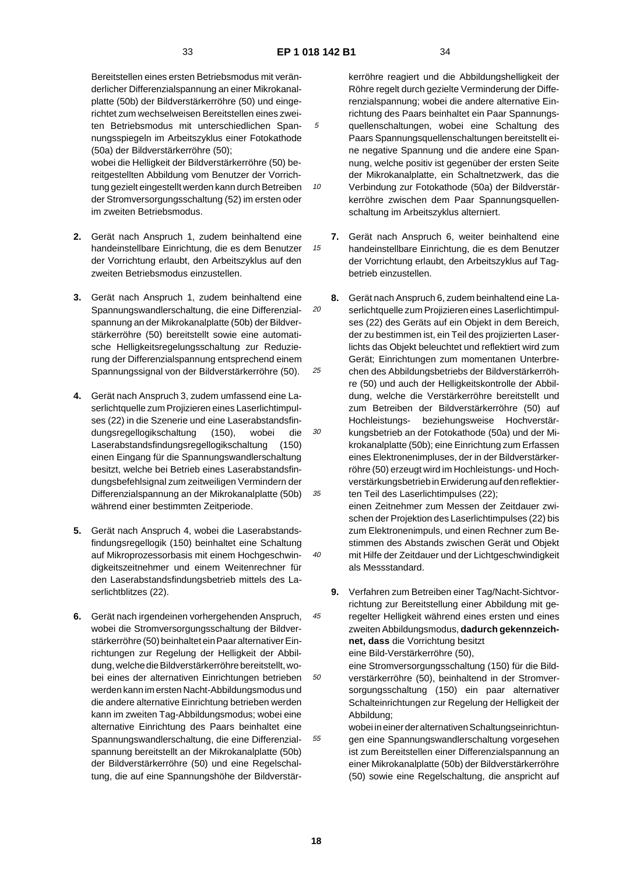10

15

20

25

 $40$ 

45

wobei die Helligkeit der Bildverstärkerröhre (50) bereitgestellten Abbildung vom Benutzer der Vorrichtung gezielt eingestellt werden kann durch Betreiben der Stromversorgungsschaltung (52) im ersten oder im zweiten Betriebsmodus.

- **2.** Gerät nach Anspruch 1, zudem beinhaltend eine handeinstellbare Einrichtung, die es dem Benutzer der Vorrichtung erlaubt, den Arbeitszyklus auf den zweiten Betriebsmodus einzustellen.
- **3.** Gerät nach Anspruch 1, zudem beinhaltend eine Spannungswandlerschaltung, die eine Differenzialspannung an der Mikrokanalplatte (50b) der Bildverstärkerröhre (50) bereitstellt sowie eine automatische Helligkeitsregelungsschaltung zur Reduzierung der Differenzialspannung entsprechend einem Spannungssignal von der Bildverstärkerröhre (50).
- 30 35 **4.** Gerät nach Anspruch 3, zudem umfassend eine Laserlichtquelle zum Projizieren eines Laserlichtimpulses (22) in die Szenerie und eine Laserabstandsfindungsregellogikschaltung (150), wobei die Laserabstandsfindungsregellogikschaltung (150) einen Eingang für die Spannungswandlerschaltung besitzt, welche bei Betrieb eines Laserabstandsfindungsbefehlsignal zum zeitweiligen Vermindern der Differenzialspannung an der Mikrokanalplatte (50b) während einer bestimmten Zeitperiode.
- **5.** Gerät nach Anspruch 4, wobei die Laserabstandsfindungsregellogik (150) beinhaltet eine Schaltung auf Mikroprozessorbasis mit einem Hochgeschwindigkeitszeitnehmer und einem Weitenrechner für den Laserabstandsfindungsbetrieb mittels des Laserlichtblitzes (22).
- 50 55 **6.** Gerät nach irgendeinen vorhergehenden Anspruch, wobei die Stromversorgungsschaltung der Bildverstärkerröhre (50) beinhaltet ein Paar alternativer Einrichtungen zur Regelung der Helligkeit der Abbildung, welche die Bildverstärkerröhre bereitstellt, wobei eines der alternativen Einrichtungen betrieben werden kann im ersten Nacht-Abbildungsmodus und die andere alternative Einrichtung betrieben werden kann im zweiten Tag-Abbildungsmodus; wobei eine alternative Einrichtung des Paars beinhaltet eine Spannungswandlerschaltung, die eine Differenzialspannung bereitstellt an der Mikrokanalplatte (50b) der Bildverstärkerröhre (50) und eine Regelschaltung, die auf eine Spannungshöhe der Bildverstär-

kerröhre reagiert und die Abbildungshelligkeit der Röhre regelt durch gezielte Verminderung der Differenzialspannung; wobei die andere alternative Einrichtung des Paars beinhaltet ein Paar Spannungsquellenschaltungen, wobei eine Schaltung des Paars Spannungsquellenschaltungen bereitstellt eine negative Spannung und die andere eine Spannung, welche positiv ist gegenüber der ersten Seite der Mikrokanalplatte, ein Schaltnetzwerk, das die Verbindung zur Fotokathode (50a) der Bildverstärkerröhre zwischen dem Paar Spannungsquellenschaltung im Arbeitszyklus alterniert.

- **7.** Gerät nach Anspruch 6, weiter beinhaltend eine handeinstellbare Einrichtung, die es dem Benutzer der Vorrichtung erlaubt, den Arbeitszyklus auf Tagbetrieb einzustellen.
- **8.** Gerät nach Anspruch 6, zudem beinhaltend eine Laserlichtquelle zum Projizieren eines Laserlichtimpulses (22) des Geräts auf ein Objekt in dem Bereich, der zu bestimmen ist, ein Teil des projizierten Laserlichts das Objekt beleuchtet und reflektiert wird zum Gerät; Einrichtungen zum momentanen Unterbrechen des Abbildungsbetriebs der Bildverstärkerröhre (50) und auch der Helligkeitskontrolle der Abbildung, welche die Verstärkerröhre bereitstellt und zum Betreiben der Bildverstärkerröhre (50) auf Hochleistungs- beziehungsweise Hochverstärkungsbetrieb an der Fotokathode (50a) und der Mikrokanalplatte (50b); eine Einrichtung zum Erfassen eines Elektronenimpluses, der in der Bildverstärkerröhre (50) erzeugt wird im Hochleistungs- und Hochverstärkungsbetrieb in Erwiderung auf den reflektierten Teil des Laserlichtimpulses (22);

einen Zeitnehmer zum Messen der Zeitdauer zwischen der Projektion des Laserlichtimpulses (22) bis zum Elektronenimpuls, und einen Rechner zum Bestimmen des Abstands zwischen Gerät und Objekt mit Hilfe der Zeitdauer und der Lichtgeschwindigkeit als Messstandard.

**9.** Verfahren zum Betreiben einer Tag/Nacht-Sichtvorrichtung zur Bereitstellung einer Abbildung mit geregelter Helligkeit während eines ersten und eines zweiten Abbildungsmodus, **dadurch gekennzeichnet, dass** die Vorrichtung besitzt eine Bild-Verstärkerröhre (50),

eine Stromversorgungsschaltung (150) für die Bildverstärkerröhre (50), beinhaltend in der Stromversorgungsschaltung (150) ein paar alternativer Schalteinrichtungen zur Regelung der Helligkeit der Abbildung;

wobei in einer der alternativen Schaltungseinrichtungen eine Spannungswandlerschaltung vorgesehen ist zum Bereitstellen einer Differenzialspannung an einer Mikrokanalplatte (50b) der Bildverstärkerröhre (50) sowie eine Regelschaltung, die anspricht auf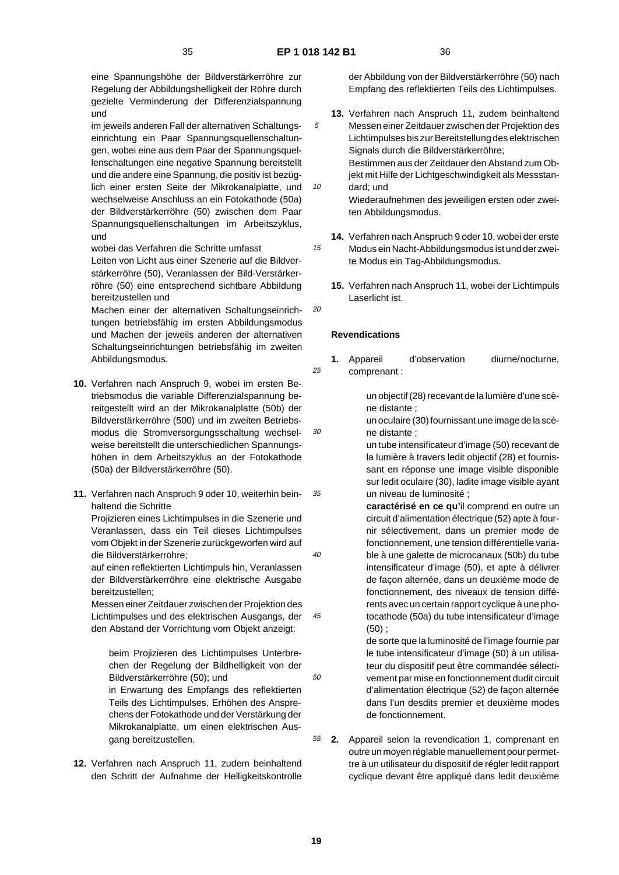15

20

25

30

 $40$ 

50

eine Spannungshöhe der Bildverstärkerröhre zur Regelung der Abbildungshelligkeit der Röhre durch gezielte Verminderung der Differenzialspannung und

im jeweils anderen Fall der alternativen Schaltungseinrichtung ein Paar Spannungsquellenschaltungen, wobei eine aus dem Paar der Spannungsquellenschaltungen eine negative Spannung bereitstellt und die andere eine Spannung, die positiv ist bezüglich einer ersten Seite der Mikrokanalplatte, und wechselweise Anschluss an ein Fotokathode (50a) der Bildverstärkerröhre (50) zwischen dem Paar Spannungsquellenschaltungen im Arbeitszyklus, und

wobei das Verfahren die Schritte umfasst Leiten von Licht aus einer Szenerie auf die Bildver-

stärkerröhre (50), Veranlassen der Bild-Verstärkerröhre (50) eine entsprechend sichtbare Abbildung bereitzustellen und

Machen einer der alternativen Schaltungseinrichtungen betriebsfähig im ersten Abbildungsmodus und Machen der jeweils anderen der alternativen Schaltungseinrichtungen betriebsfähig im zweiten Abbildungsmodus.

- **10.** Verfahren nach Anspruch 9, wobei im ersten Betriebsmodus die variable Differenzialspannung bereitgestellt wird an der Mikrokanalplatte (50b) der Bildverstärkerröhre (500) und im zweiten Betriebsmodus die Stromversorgungsschaltung wechselweise bereitstellt die unterschiedlichen Spannungshöhen in dem Arbeitszyklus an der Fotokathode (50a) der Bildverstärkerröhre (50).
- 35 **11.** Verfahren nach Anspruch 9 oder 10, weiterhin beinhaltend die Schritte

Projizieren eines Lichtimpulses in die Szenerie und Veranlassen, dass ein Teil dieses Lichtimpulses vom Objekt in der Szenerie zurückgeworfen wird auf die Bildverstärkerröhre;

auf einen reflektierten Lichtimpuls hin, Veranlassen der Bildverstärkerröhre eine elektrische Ausgabe bereitzustellen;

45 Messen einer Zeitdauer zwischen der Projektion des Lichtimpulses und des elektrischen Ausgangs, der den Abstand der Vorrichtung vom Objekt anzeigt:

beim Projizieren des Lichtimpulses Unterbrechen der Regelung der Bildhelligkeit von der Bildverstärkerröhre (50); und

in Erwartung des Empfangs des reflektierten Teils des Lichtimpulses, Erhöhen des Ansprechens der Fotokathode und der Verstärkung der Mikrokanalplatte, um einen elektrischen Ausgang bereitzustellen.

**12.** Verfahren nach Anspruch 11, zudem beinhaltend den Schritt der Aufnahme der Helligkeitskontrolle

der Abbildung von der Bildverstärkerröhre (50) nach Empfang des reflektierten Teils des Lichtimpulses.

- 10 **13.** Verfahren nach Anspruch 11, zudem beinhaltend Messen einer Zeitdauer zwischen der Projektion des Lichtimpulses bis zur Bereitstellung des elektrischen Signals durch die Bildverstärkerröhre; Bestimmen aus der Zeitdauer den Abstand zum Objekt mit Hilfe der Lichtgeschwindigkeit als Messstandard; und Wiederaufnehmen des jeweiligen ersten oder zweiten Abbildungsmodus.
	- **14.** Verfahren nach Anspruch 9 oder 10, wobei der erste Modus ein Nacht-Abbildungsmodus ist und der zweite Modus ein Tag-Abbildungsmodus.
		- **15.** Verfahren nach Anspruch 11, wobei der Lichtimpuls Laserlicht ist.

### **Revendications**

1. Appareil d'observation diurne/nocturne, comprenant :

> un objectif (28) recevant de la lumière d'une scène distante ;

un oculaire (30) fournissant une image de la scène distante ;

un tube intensificateur d'image (50) recevant de la lumière à travers ledit objectif (28) et fournissant en réponse une image visible disponible sur ledit oculaire (30), ladite image visible ayant un niveau de luminosité ;

**caractérisé en ce qu'**il comprend en outre un circuit d'alimentation électrique (52) apte à fournir sélectivement, dans un premier mode de fonctionnement, une tension différentielle variable à une galette de microcanaux (50b) du tube intensificateur d'image (50), et apte à délivrer de façon alternée, dans un deuxième mode de fonctionnement, des niveaux de tension différents avec un certain rapport cyclique à une photocathode (50a) du tube intensificateur d'image (50) ;

de sorte que la luminosité de l'image fournie par le tube intensificateur d'image (50) à un utilisateur du dispositif peut être commandée sélectivement par mise en fonctionnement dudit circuit d'alimentation électrique (52) de façon alternée dans l'un desdits premier et deuxième modes de fonctionnement.

55 **2.** Appareil selon la revendication 1, comprenant en outre un moyen réglable manuellement pour permettre à un utilisateur du dispositif de régler ledit rapport cyclique devant être appliqué dans ledit deuxième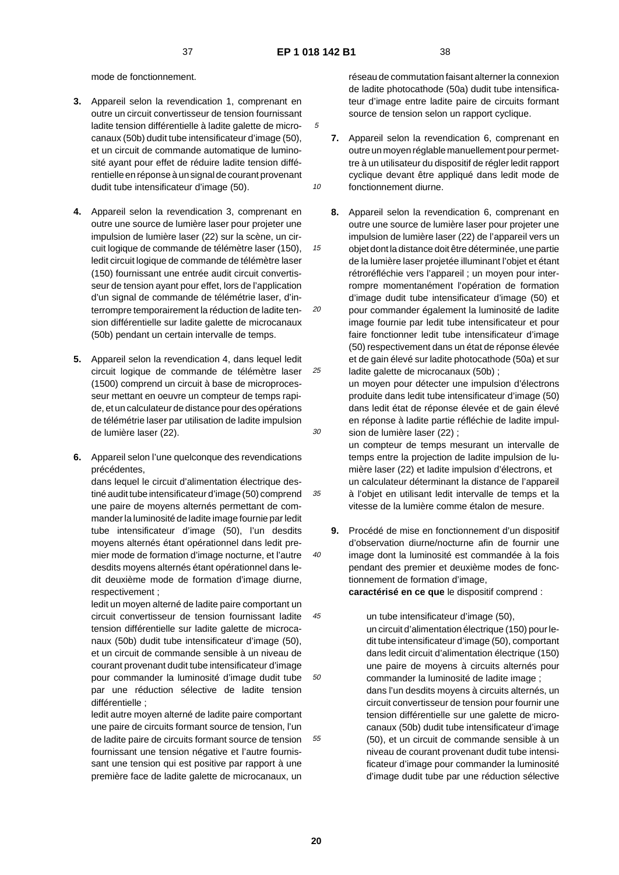10

15

20

30

35

40

mode de fonctionnement.

- **3.** Appareil selon la revendication 1, comprenant en outre un circuit convertisseur de tension fournissant ladite tension différentielle à ladite galette de microcanaux (50b) dudit tube intensificateur d'image (50), et un circuit de commande automatique de luminosité ayant pour effet de réduire ladite tension différentielle en réponse à un signal de courant provenant dudit tube intensificateur d'image (50).
- **4.** Appareil selon la revendication 3, comprenant en outre une source de lumière laser pour projeter une impulsion de lumière laser (22) sur la scène, un circuit logique de commande de télémètre laser (150), ledit circuit logique de commande de télémètre laser (150) fournissant une entrée audit circuit convertisseur de tension ayant pour effet, lors de l'application d'un signal de commande de télémétrie laser, d'interrompre temporairement la réduction de ladite tension différentielle sur ladite galette de microcanaux (50b) pendant un certain intervalle de temps.
- 25 **5.** Appareil selon la revendication 4, dans lequel ledit circuit logique de commande de télémètre laser (1500) comprend un circuit à base de microprocesseur mettant en oeuvre un compteur de temps rapide, et un calculateur de distance pour des opérations de télémétrie laser par utilisation de ladite impulsion de lumière laser (22).
- **6.** Appareil selon l'une quelconque des revendications précédentes,

dans lequel le circuit d'alimentation électrique destiné audit tube intensificateur d'image (50) comprend une paire de moyens alternés permettant de commander la luminosité de ladite image fournie par ledit tube intensificateur d'image (50), l'un desdits moyens alternés étant opérationnel dans ledit premier mode de formation d'image nocturne, et l'autre desdits moyens alternés étant opérationnel dans ledit deuxième mode de formation d'image diurne, respectivement ;

45 50 ledit un moyen alterné de ladite paire comportant un circuit convertisseur de tension fournissant ladite tension différentielle sur ladite galette de microcanaux (50b) dudit tube intensificateur d'image (50), et un circuit de commande sensible à un niveau de courant provenant dudit tube intensificateur d'image pour commander la luminosité d'image dudit tube par une réduction sélective de ladite tension différentielle ;

ledit autre moyen alterné de ladite paire comportant une paire de circuits formant source de tension, l'un de ladite paire de circuits formant source de tension fournissant une tension négative et l'autre fournissant une tension qui est positive par rapport à une première face de ladite galette de microcanaux, un

réseau de commutation faisant alterner la connexion de ladite photocathode (50a) dudit tube intensificateur d'image entre ladite paire de circuits formant source de tension selon un rapport cyclique.

- **7.** Appareil selon la revendication 6, comprenant en outre un moyen réglable manuellement pour permettre à un utilisateur du dispositif de régler ledit rapport cyclique devant être appliqué dans ledit mode de fonctionnement diurne.
- **8.** Appareil selon la revendication 6, comprenant en outre une source de lumière laser pour projeter une impulsion de lumière laser (22) de l'appareil vers un objet dont la distance doit être déterminée, une partie de la lumière laser projetée illuminant l'objet et étant rétroréfléchie vers l'appareil ; un moyen pour interrompre momentanément l'opération de formation d'image dudit tube intensificateur d'image (50) et pour commander également la luminosité de ladite image fournie par ledit tube intensificateur et pour faire fonctionner ledit tube intensificateur d'image (50) respectivement dans un état de réponse élevée et de gain élevé sur ladite photocathode (50a) et sur ladite galette de microcanaux (50b) ;

un moyen pour détecter une impulsion d'électrons produite dans ledit tube intensificateur d'image (50) dans ledit état de réponse élevée et de gain élevé en réponse à ladite partie réfléchie de ladite impulsion de lumière laser (22) ;

un compteur de temps mesurant un intervalle de temps entre la projection de ladite impulsion de lumière laser (22) et ladite impulsion d'électrons, et un calculateur déterminant la distance de l'appareil à l'objet en utilisant ledit intervalle de temps et la vitesse de la lumière comme étalon de mesure.

**9.** Procédé de mise en fonctionnement d'un dispositif d'observation diurne/nocturne afin de fournir une image dont la luminosité est commandée à la fois pendant des premier et deuxième modes de fonctionnement de formation d'image, **caractérisé en ce que** le dispositif comprend :

un tube intensificateur d'image (50), un circuit d'alimentation électrique (150) pour ledit tube intensificateur d'image (50), comportant dans ledit circuit d'alimentation électrique (150) une paire de moyens à circuits alternés pour commander la luminosité de ladite image ; dans l'un desdits moyens à circuits alternés, un circuit convertisseur de tension pour fournir une tension différentielle sur une galette de microcanaux (50b) dudit tube intensificateur d'image (50), et un circuit de commande sensible à un niveau de courant provenant dudit tube intensificateur d'image pour commander la luminosité d'image dudit tube par une réduction sélective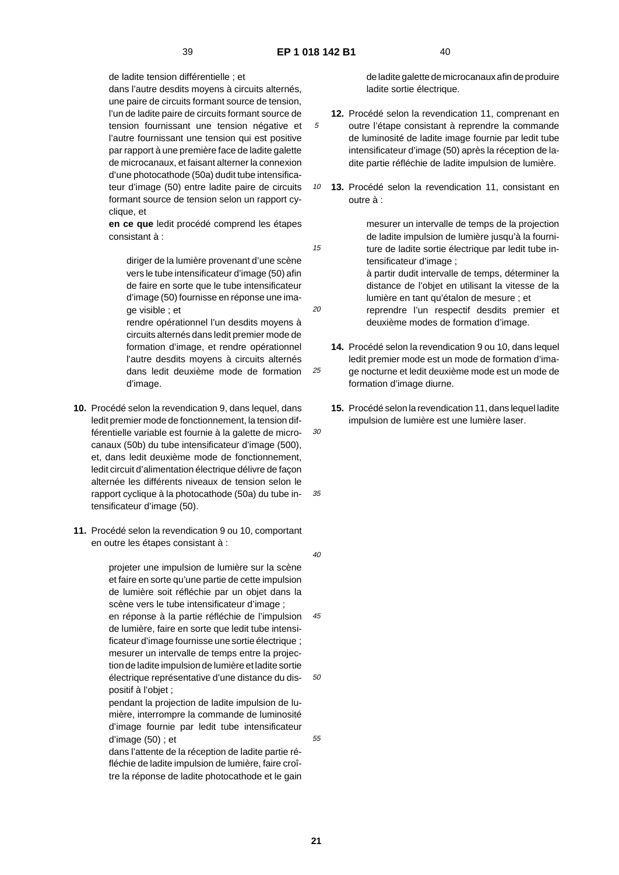15

20

25

de ladite tension différentielle ; et

dans l'autre desdits moyens à circuits alternés, une paire de circuits formant source de tension, l'un de ladite paire de circuits formant source de tension fournissant une tension négative et l'autre fournissant une tension qui est positive par rapport à une première face de ladite galette de microcanaux, et faisant alterner la connexion d'une photocathode (50a) dudit tube intensificateur d'image (50) entre ladite paire de circuits formant source de tension selon un rapport cyclique, et

**en ce que** ledit procédé comprend les étapes consistant à :

diriger de la lumière provenant d'une scène vers le tube intensificateur d'image (50) afin de faire en sorte que le tube intensificateur d'image (50) fournisse en réponse une image visible ; et

rendre opérationnel l'un desdits moyens à circuits alternés dans ledit premier mode de formation d'image, et rendre opérationnel l'autre desdits moyens à circuits alternés dans ledit deuxième mode de formation d'image.

- 30 **10.** Procédé selon la revendication 9, dans lequel, dans ledit premier mode de fonctionnement, la tension différentielle variable est fournie à la galette de microcanaux (50b) du tube intensificateur d'image (500), et, dans ledit deuxième mode de fonctionnement, ledit circuit d'alimentation électrique délivre de façon alternée les différents niveaux de tension selon le rapport cyclique à la photocathode (50a) du tube intensificateur d'image (50).
- **11.** Procédé selon la revendication 9 ou 10, comportant en outre les étapes consistant à :

50 projeter une impulsion de lumière sur la scène et faire en sorte qu'une partie de cette impulsion de lumière soit réfléchie par un objet dans la scène vers le tube intensificateur d'image ; en réponse à la partie réfléchie de l'impulsion de lumière, faire en sorte que ledit tube intensificateur d'image fournisse une sortie électrique ; mesurer un intervalle de temps entre la projection de ladite impulsion de lumière et ladite sortie électrique représentative d'une distance du dispositif à l'objet ; pendant la projection de ladite impulsion de lu-

mière, interrompre la commande de luminosité d'image fournie par ledit tube intensificateur d'image (50) ; et

dans l'attente de la réception de ladite partie réfléchie de ladite impulsion de lumière, faire croître la réponse de ladite photocathode et le gain de ladite galette de microcanaux afin de produire ladite sortie électrique.

- **12.** Procédé selon la revendication 11, comprenant en outre l'étape consistant à reprendre la commande de luminosité de ladite image fournie par ledit tube intensificateur d'image (50) après la réception de ladite partie réfléchie de ladite impulsion de lumière.
- 10 **13.** Procédé selon la revendication 11, consistant en outre à :

mesurer un intervalle de temps de la projection de ladite impulsion de lumière jusqu'à la fourniture de ladite sortie électrique par ledit tube intensificateur d'image ;

à partir dudit intervalle de temps, déterminer la distance de l'objet en utilisant la vitesse de la lumière en tant qu'étalon de mesure ; et

reprendre l'un respectif desdits premier et deuxième modes de formation d'image.

- **14.** Procédé selon la revendication 9 ou 10, dans lequel ledit premier mode est un mode de formation d'image nocturne et ledit deuxième mode est un mode de formation d'image diurne.
- **15.** Procédé selon la revendication 11, dans lequel ladite impulsion de lumière est une lumière laser.

 $40$ 

45

35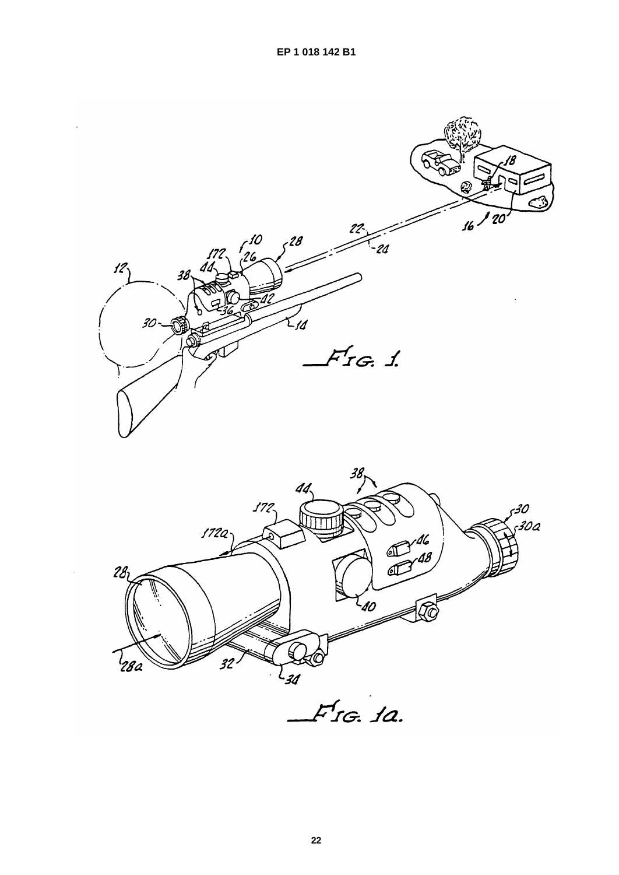



 $F$ rg. 1a.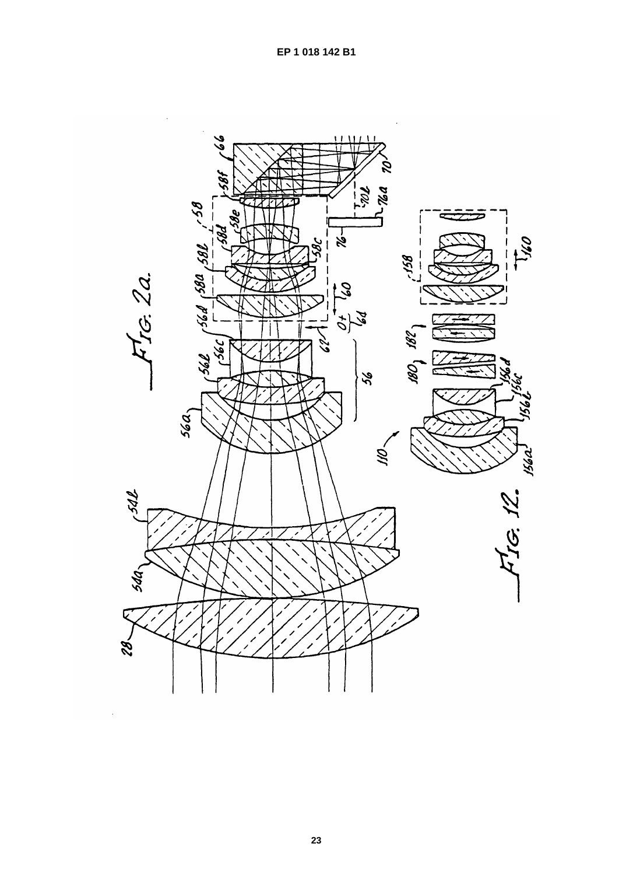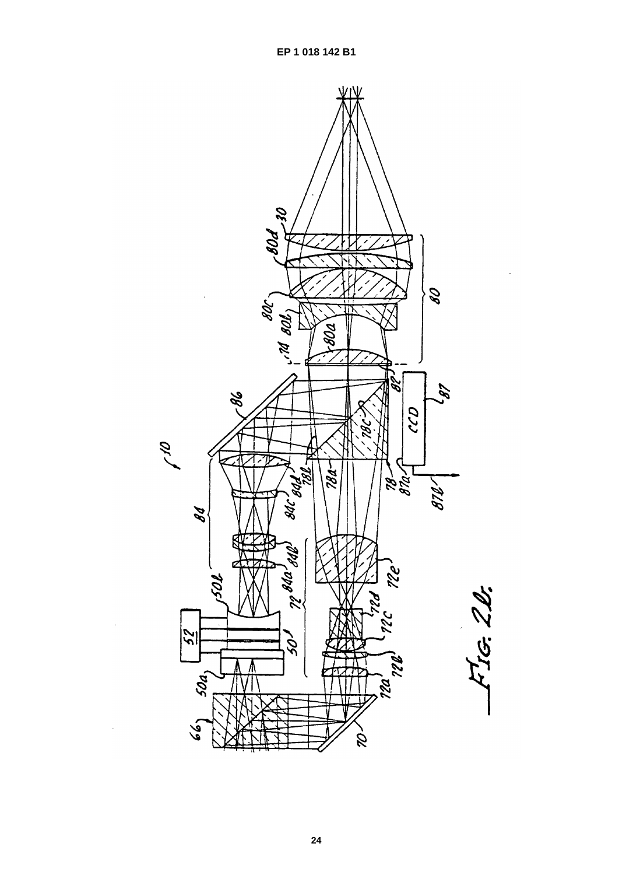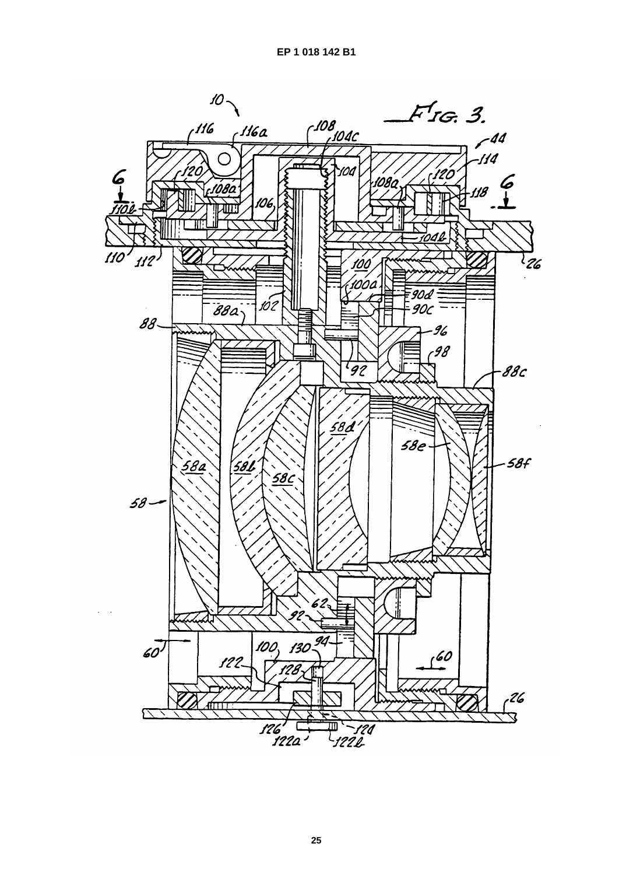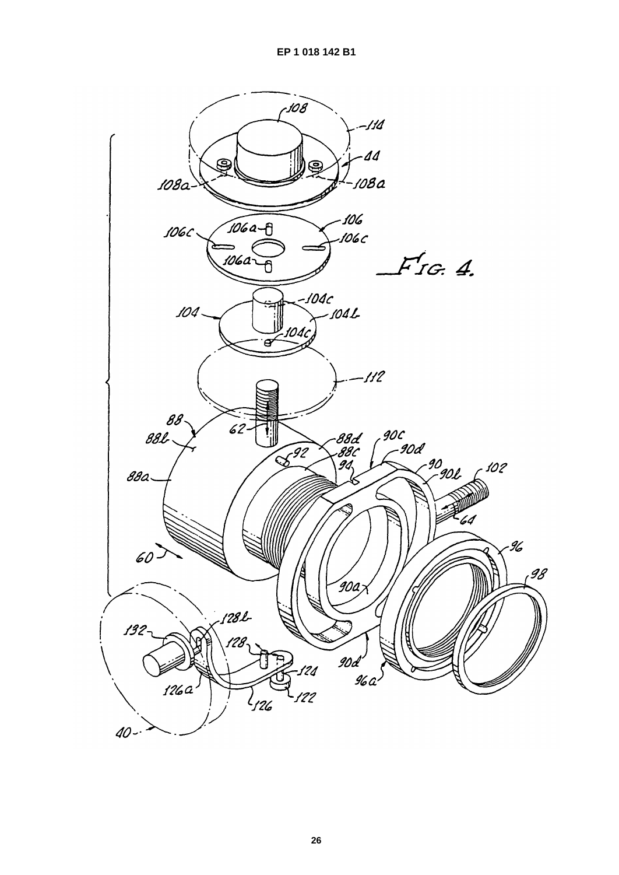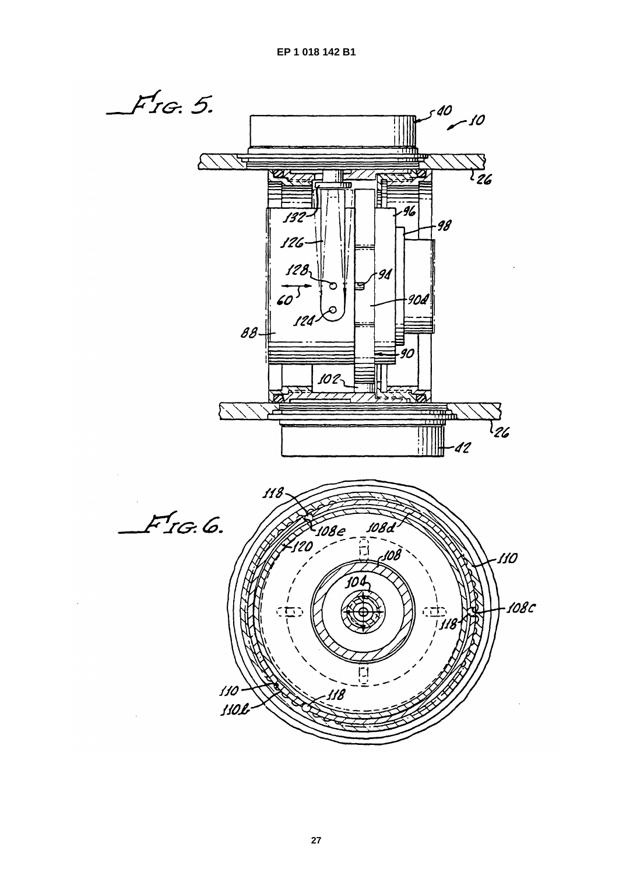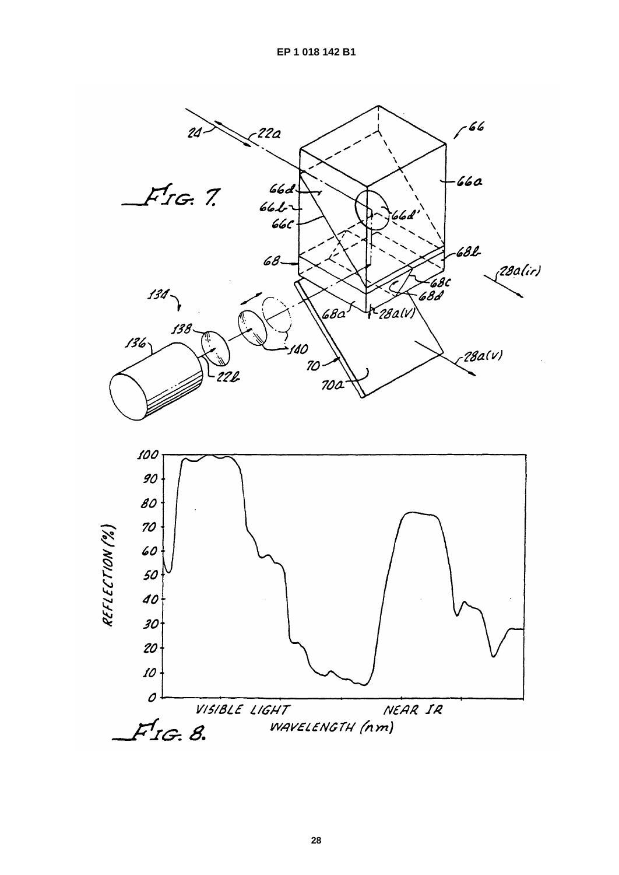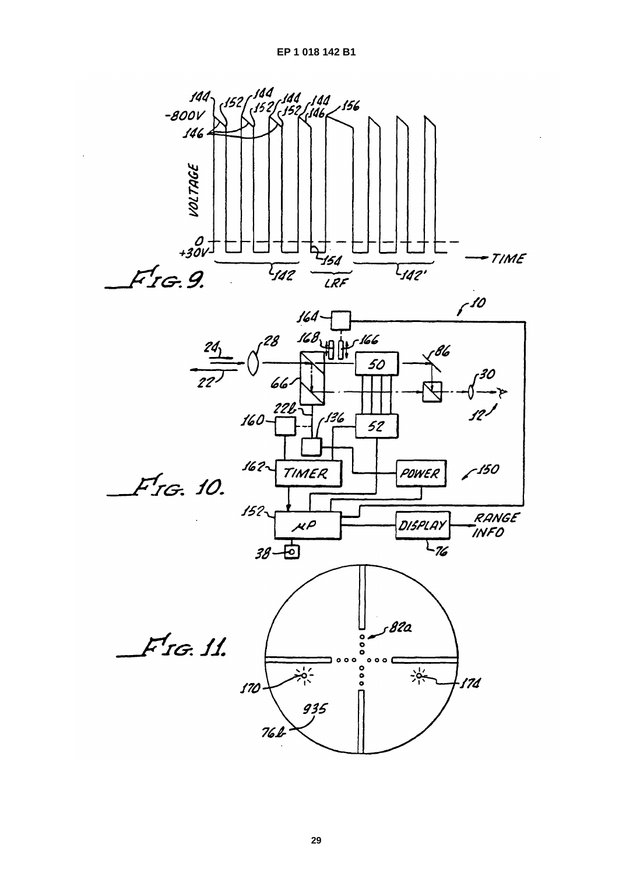EP 1 018 142 B1